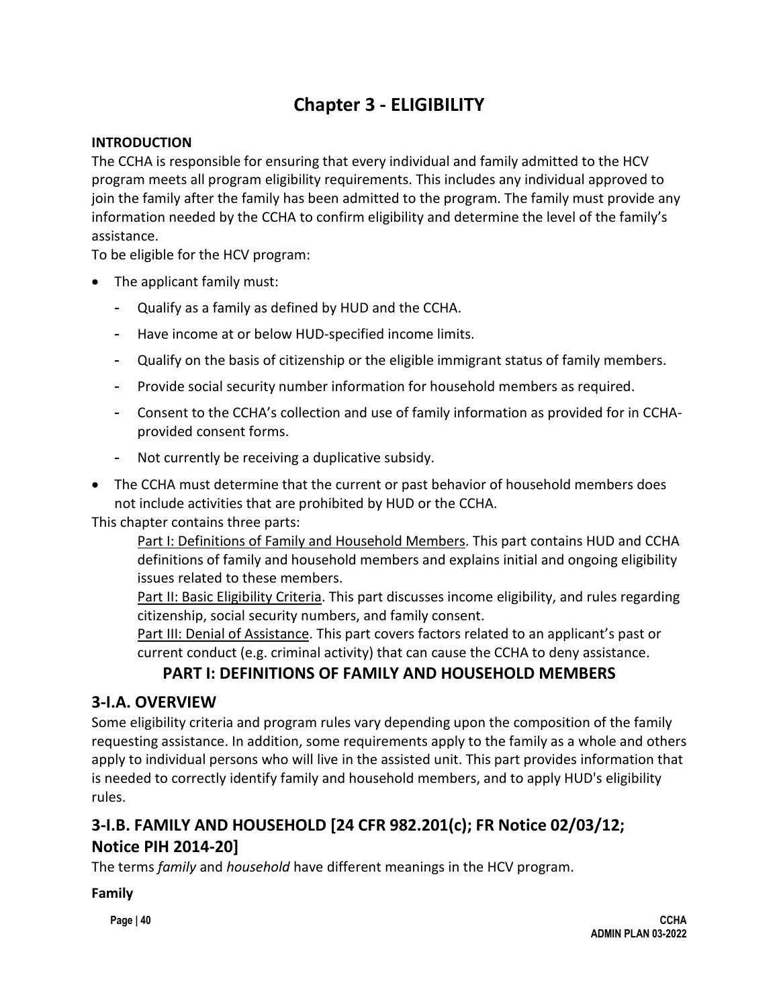# **Chapter 3 - ELIGIBILITY**

### **INTRODUCTION**

The CCHA is responsible for ensuring that every individual and family admitted to the HCV program meets all program eligibility requirements. This includes any individual approved to join the family after the family has been admitted to the program. The family must provide any information needed by the CCHA to confirm eligibility and determine the level of the family's assistance.

To be eligible for the HCV program:

- The applicant family must:
	- Qualify as a family as defined by HUD and the CCHA.
	- Have income at or below HUD-specified income limits.
	- Qualify on the basis of citizenship or the eligible immigrant status of family members.
	- Provide social security number information for household members as required.
	- Consent to the CCHA's collection and use of family information as provided for in CCHAprovided consent forms.
	- Not currently be receiving a duplicative subsidy.
- The CCHA must determine that the current or past behavior of household members does not include activities that are prohibited by HUD or the CCHA.

This chapter contains three parts:

Part I: Definitions of Family and Household Members. This part contains HUD and CCHA definitions of family and household members and explains initial and ongoing eligibility issues related to these members.

Part II: Basic Eligibility Criteria. This part discusses income eligibility, and rules regarding citizenship, social security numbers, and family consent.

Part III: Denial of Assistance. This part covers factors related to an applicant's past or current conduct (e.g. criminal activity) that can cause the CCHA to deny assistance.

# **PART I: DEFINITIONS OF FAMILY AND HOUSEHOLD MEMBERS**

## **3-I.A. OVERVIEW**

Some eligibility criteria and program rules vary depending upon the composition of the family requesting assistance. In addition, some requirements apply to the family as a whole and others apply to individual persons who will live in the assisted unit. This part provides information that is needed to correctly identify family and household members, and to apply HUD's eligibility rules.

# **3-I.B. FAMILY AND HOUSEHOLD [24 CFR 982.201(c); FR Notice 02/03/12; Notice PIH 2014-20]**

The terms *family* and *household* have different meanings in the HCV program.

#### **Family**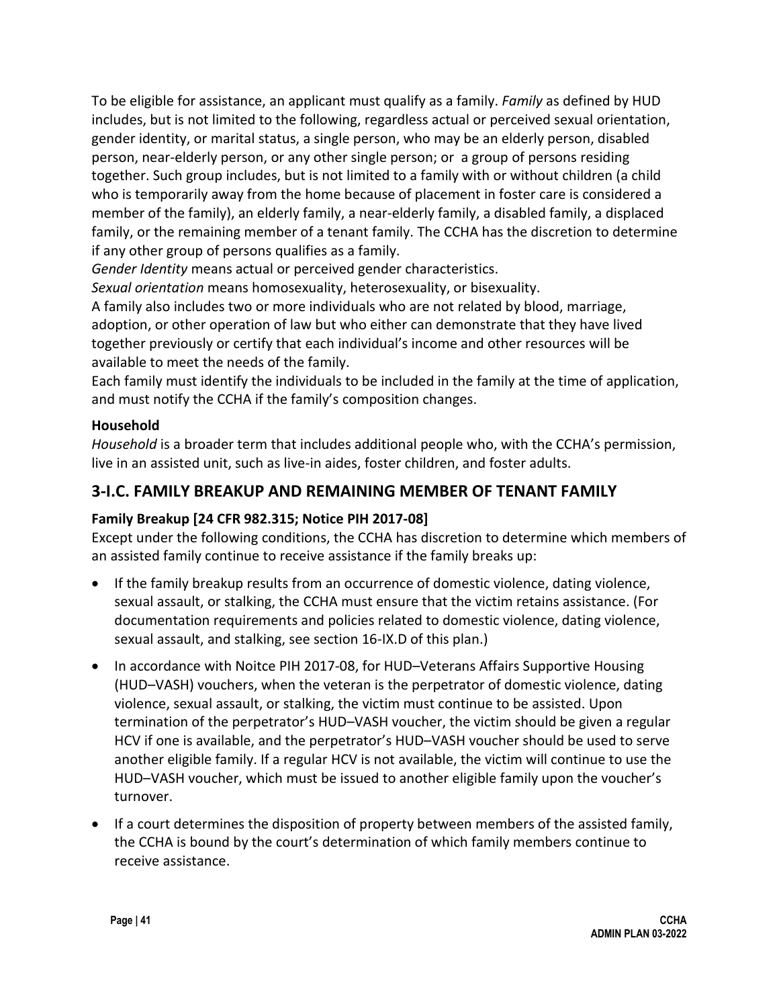To be eligible for assistance, an applicant must qualify as a family. *Family* as defined by HUD includes, but is not limited to the following, regardless actual or perceived sexual orientation, gender identity, or marital status, a single person, who may be an elderly person, disabled person, near-elderly person, or any other single person; or a group of persons residing together. Such group includes, but is not limited to a family with or without children (a child who is temporarily away from the home because of placement in foster care is considered a member of the family), an elderly family, a near-elderly family, a disabled family, a displaced family, or the remaining member of a tenant family. The CCHA has the discretion to determine if any other group of persons qualifies as a family.

*Gender Identity* means actual or perceived gender characteristics.

*Sexual orientation* means homosexuality, heterosexuality, or bisexuality.

A family also includes two or more individuals who are not related by blood, marriage, adoption, or other operation of law but who either can demonstrate that they have lived together previously or certify that each individual's income and other resources will be available to meet the needs of the family.

Each family must identify the individuals to be included in the family at the time of application, and must notify the CCHA if the family's composition changes.

#### **Household**

*Household* is a broader term that includes additional people who, with the CCHA's permission, live in an assisted unit, such as live-in aides, foster children, and foster adults.

## **3-I.C. FAMILY BREAKUP AND REMAINING MEMBER OF TENANT FAMILY**

### **Family Breakup [24 CFR 982.315; Notice PIH 2017-08]**

Except under the following conditions, the CCHA has discretion to determine which members of an assisted family continue to receive assistance if the family breaks up:

- If the family breakup results from an occurrence of domestic violence, dating violence, sexual assault, or stalking, the CCHA must ensure that the victim retains assistance. (For documentation requirements and policies related to domestic violence, dating violence, sexual assault, and stalking, see section 16-IX.D of this plan.)
- In accordance with Noitce PIH 2017-08, for HUD–Veterans Affairs Supportive Housing (HUD–VASH) vouchers, when the veteran is the perpetrator of domestic violence, dating violence, sexual assault, or stalking, the victim must continue to be assisted. Upon termination of the perpetrator's HUD–VASH voucher, the victim should be given a regular HCV if one is available, and the perpetrator's HUD–VASH voucher should be used to serve another eligible family. If a regular HCV is not available, the victim will continue to use the HUD–VASH voucher, which must be issued to another eligible family upon the voucher's turnover.
- If a court determines the disposition of property between members of the assisted family, the CCHA is bound by the court's determination of which family members continue to receive assistance.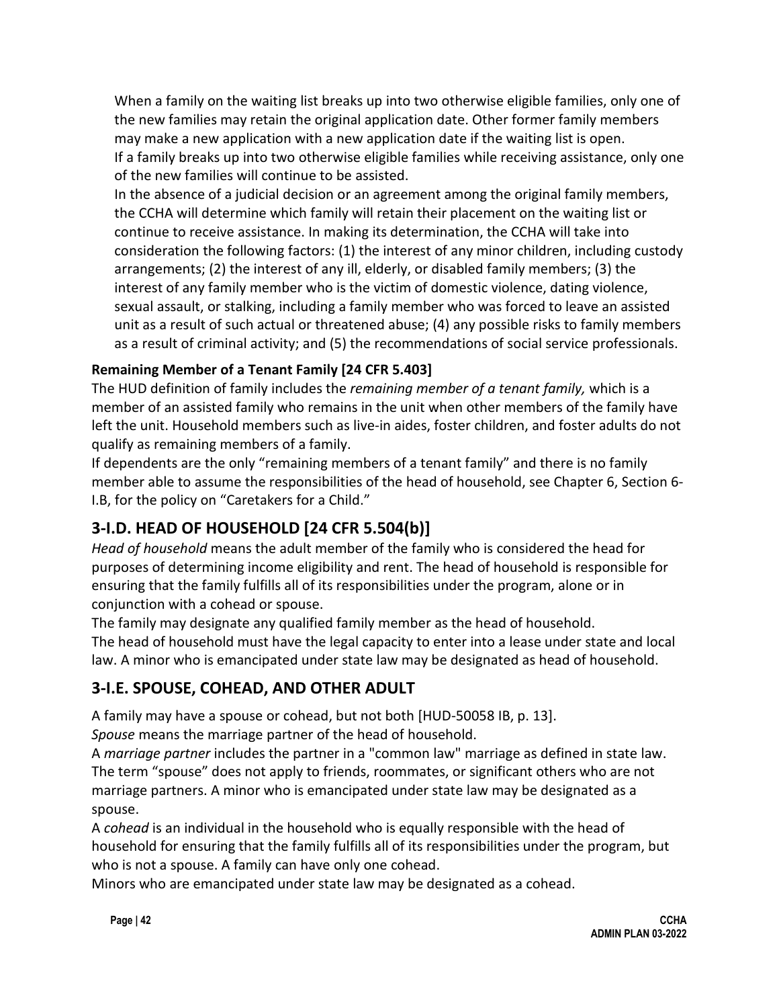When a family on the waiting list breaks up into two otherwise eligible families, only one of the new families may retain the original application date. Other former family members may make a new application with a new application date if the waiting list is open. If a family breaks up into two otherwise eligible families while receiving assistance, only one of the new families will continue to be assisted.

In the absence of a judicial decision or an agreement among the original family members, the CCHA will determine which family will retain their placement on the waiting list or continue to receive assistance. In making its determination, the CCHA will take into consideration the following factors: (1) the interest of any minor children, including custody arrangements; (2) the interest of any ill, elderly, or disabled family members; (3) the interest of any family member who is the victim of domestic violence, dating violence, sexual assault, or stalking, including a family member who was forced to leave an assisted unit as a result of such actual or threatened abuse; (4) any possible risks to family members as a result of criminal activity; and (5) the recommendations of social service professionals.

## **Remaining Member of a Tenant Family [24 CFR 5.403]**

The HUD definition of family includes the *remaining member of a tenant family,* which is a member of an assisted family who remains in the unit when other members of the family have left the unit. Household members such as live-in aides, foster children, and foster adults do not qualify as remaining members of a family.

If dependents are the only "remaining members of a tenant family" and there is no family member able to assume the responsibilities of the head of household, see Chapter 6, Section 6- I.B, for the policy on "Caretakers for a Child."

# **3-I.D. HEAD OF HOUSEHOLD [24 CFR 5.504(b)]**

*Head of household* means the adult member of the family who is considered the head for purposes of determining income eligibility and rent. The head of household is responsible for ensuring that the family fulfills all of its responsibilities under the program, alone or in conjunction with a cohead or spouse.

The family may designate any qualified family member as the head of household. The head of household must have the legal capacity to enter into a lease under state and local law. A minor who is emancipated under state law may be designated as head of household.

# **3-I.E. SPOUSE, COHEAD, AND OTHER ADULT**

A family may have a spouse or cohead, but not both [HUD-50058 IB, p. 13].

*Spouse* means the marriage partner of the head of household.

A *marriage partner* includes the partner in a "common law" marriage as defined in state law. The term "spouse" does not apply to friends, roommates, or significant others who are not marriage partners. A minor who is emancipated under state law may be designated as a spouse.

A *cohead* is an individual in the household who is equally responsible with the head of household for ensuring that the family fulfills all of its responsibilities under the program, but who is not a spouse. A family can have only one cohead.

Minors who are emancipated under state law may be designated as a cohead.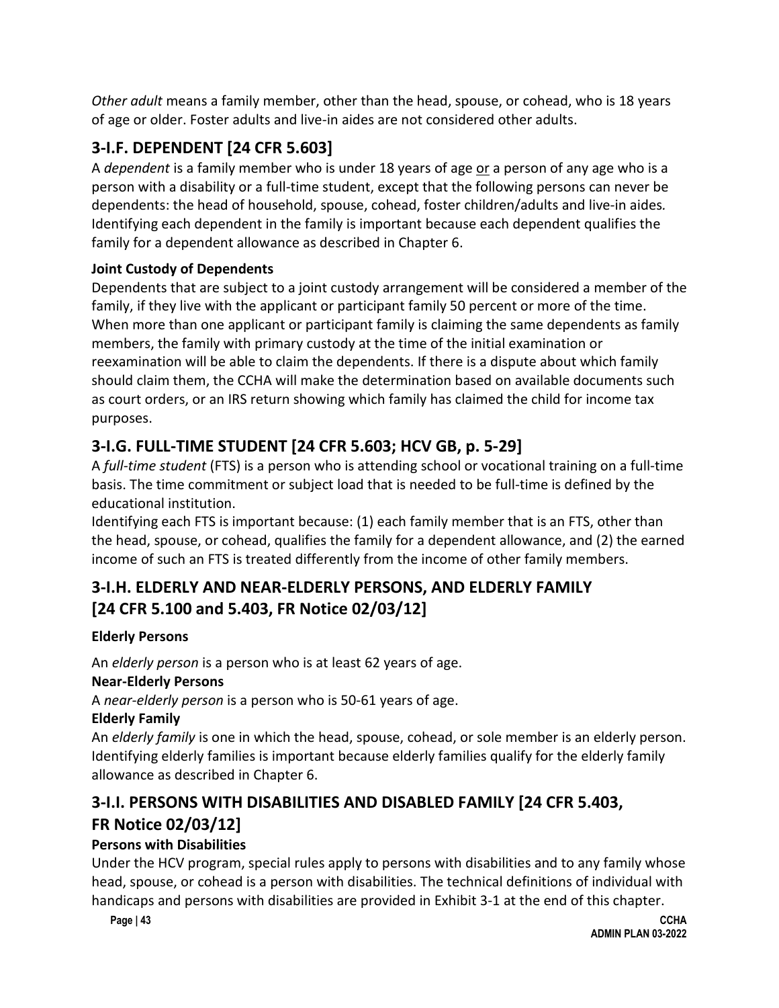*Other adult* means a family member, other than the head, spouse, or cohead, who is 18 years of age or older. Foster adults and live-in aides are not considered other adults.

# **3-I.F. DEPENDENT [24 CFR 5.603]**

A *dependent* is a family member who is under 18 years of age or a person of any age who is a person with a disability or a full-time student, except that the following persons can never be dependents: the head of household, spouse, cohead, foster children/adults and live-in aides*.*  Identifying each dependent in the family is important because each dependent qualifies the family for a dependent allowance as described in Chapter 6.

## **Joint Custody of Dependents**

Dependents that are subject to a joint custody arrangement will be considered a member of the family, if they live with the applicant or participant family 50 percent or more of the time. When more than one applicant or participant family is claiming the same dependents as family members, the family with primary custody at the time of the initial examination or reexamination will be able to claim the dependents. If there is a dispute about which family should claim them, the CCHA will make the determination based on available documents such as court orders, or an IRS return showing which family has claimed the child for income tax purposes.

# **3-I.G. FULL-TIME STUDENT [24 CFR 5.603; HCV GB, p. 5-29]**

A *full-time student* (FTS) is a person who is attending school or vocational training on a full-time basis. The time commitment or subject load that is needed to be full-time is defined by the educational institution.

Identifying each FTS is important because: (1) each family member that is an FTS, other than the head, spouse, or cohead, qualifies the family for a dependent allowance, and (2) the earned income of such an FTS is treated differently from the income of other family members.

# **3-I.H. ELDERLY AND NEAR-ELDERLY PERSONS, AND ELDERLY FAMILY [24 CFR 5.100 and 5.403, FR Notice 02/03/12]**

## **Elderly Persons**

An *elderly person* is a person who is at least 62 years of age.

## **Near-Elderly Persons**

A *near-elderly person* is a person who is 50-61 years of age.

## **Elderly Family**

An *elderly family* is one in which the head, spouse, cohead, or sole member is an elderly person. Identifying elderly families is important because elderly families qualify for the elderly family allowance as described in Chapter 6.

# **3-I.I. PERSONS WITH DISABILITIES AND DISABLED FAMILY [24 CFR 5.403, FR Notice 02/03/12]**

# **Persons with Disabilities**

Under the HCV program, special rules apply to persons with disabilities and to any family whose head, spouse, or cohead is a person with disabilities. The technical definitions of individual with handicaps and persons with disabilities are provided in Exhibit 3-1 at the end of this chapter.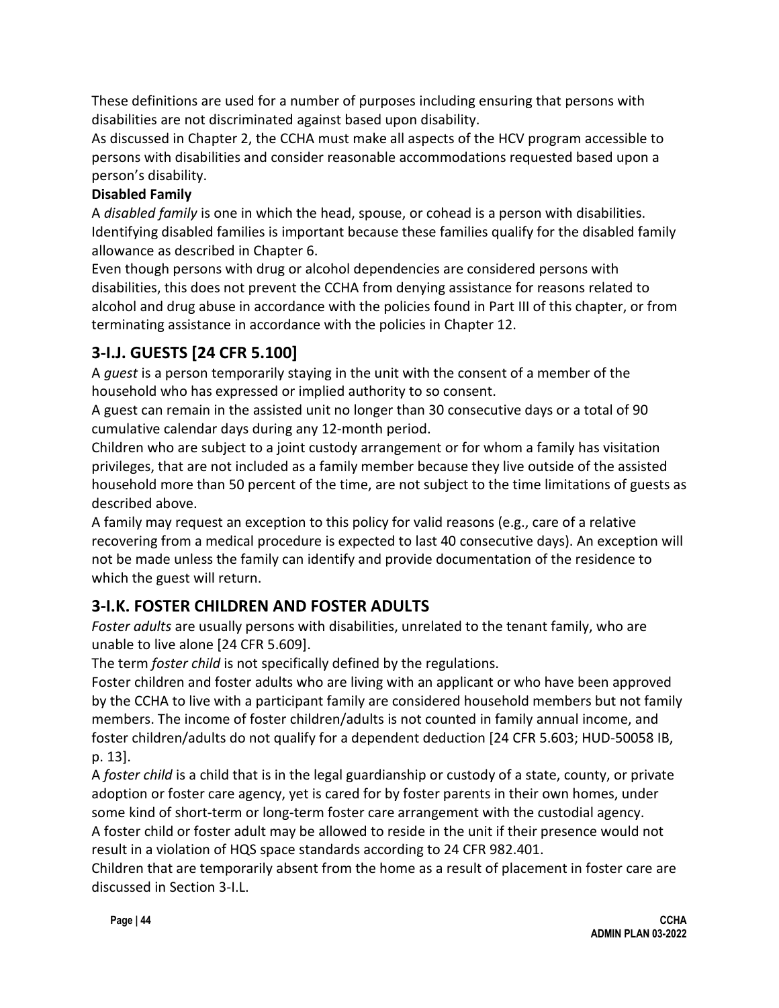These definitions are used for a number of purposes including ensuring that persons with disabilities are not discriminated against based upon disability.

As discussed in Chapter 2, the CCHA must make all aspects of the HCV program accessible to persons with disabilities and consider reasonable accommodations requested based upon a person's disability.

### **Disabled Family**

A *disabled family* is one in which the head, spouse, or cohead is a person with disabilities. Identifying disabled families is important because these families qualify for the disabled family allowance as described in Chapter 6.

Even though persons with drug or alcohol dependencies are considered persons with disabilities, this does not prevent the CCHA from denying assistance for reasons related to alcohol and drug abuse in accordance with the policies found in Part III of this chapter, or from terminating assistance in accordance with the policies in Chapter 12.

# **3-I.J. GUESTS [24 CFR 5.100]**

A *guest* is a person temporarily staying in the unit with the consent of a member of the household who has expressed or implied authority to so consent.

A guest can remain in the assisted unit no longer than 30 consecutive days or a total of 90 cumulative calendar days during any 12-month period.

Children who are subject to a joint custody arrangement or for whom a family has visitation privileges, that are not included as a family member because they live outside of the assisted household more than 50 percent of the time, are not subject to the time limitations of guests as described above.

A family may request an exception to this policy for valid reasons (e.g., care of a relative recovering from a medical procedure is expected to last 40 consecutive days). An exception will not be made unless the family can identify and provide documentation of the residence to which the guest will return.

# **3-I.K. FOSTER CHILDREN AND FOSTER ADULTS**

*Foster adults* are usually persons with disabilities, unrelated to the tenant family, who are unable to live alone [24 CFR 5.609].

The term *foster child* is not specifically defined by the regulations.

Foster children and foster adults who are living with an applicant or who have been approved by the CCHA to live with a participant family are considered household members but not family members. The income of foster children/adults is not counted in family annual income, and foster children/adults do not qualify for a dependent deduction [24 CFR 5.603; HUD-50058 IB, p. 13].

A *foster child* is a child that is in the legal guardianship or custody of a state, county, or private adoption or foster care agency, yet is cared for by foster parents in their own homes, under some kind of short-term or long-term foster care arrangement with the custodial agency. A foster child or foster adult may be allowed to reside in the unit if their presence would not result in a violation of HQS space standards according to 24 CFR 982.401.

Children that are temporarily absent from the home as a result of placement in foster care are discussed in Section 3-I.L.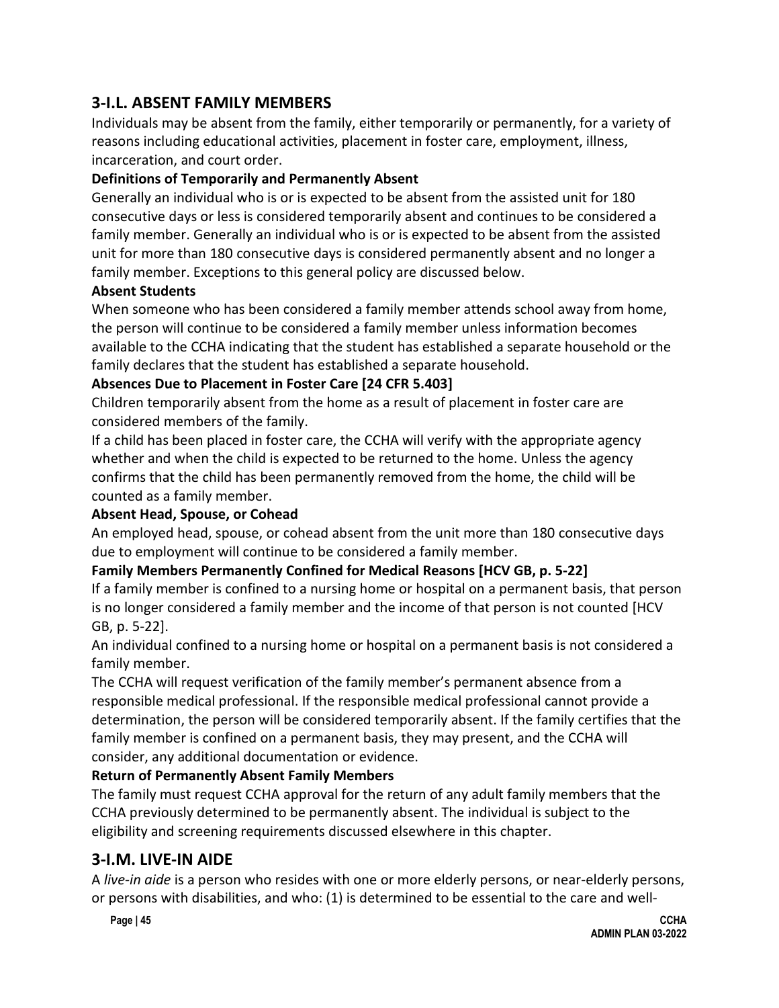# **3-I.L. ABSENT FAMILY MEMBERS**

Individuals may be absent from the family, either temporarily or permanently, for a variety of reasons including educational activities, placement in foster care, employment, illness, incarceration, and court order.

## **Definitions of Temporarily and Permanently Absent**

Generally an individual who is or is expected to be absent from the assisted unit for 180 consecutive days or less is considered temporarily absent and continues to be considered a family member. Generally an individual who is or is expected to be absent from the assisted unit for more than 180 consecutive days is considered permanently absent and no longer a family member. Exceptions to this general policy are discussed below.

### **Absent Students**

When someone who has been considered a family member attends school away from home, the person will continue to be considered a family member unless information becomes available to the CCHA indicating that the student has established a separate household or the family declares that the student has established a separate household.

## **Absences Due to Placement in Foster Care [24 CFR 5.403]**

Children temporarily absent from the home as a result of placement in foster care are considered members of the family.

If a child has been placed in foster care, the CCHA will verify with the appropriate agency whether and when the child is expected to be returned to the home. Unless the agency confirms that the child has been permanently removed from the home, the child will be counted as a family member.

### **Absent Head, Spouse, or Cohead**

An employed head, spouse, or cohead absent from the unit more than 180 consecutive days due to employment will continue to be considered a family member.

## **Family Members Permanently Confined for Medical Reasons [HCV GB, p. 5-22]**

If a family member is confined to a nursing home or hospital on a permanent basis, that person is no longer considered a family member and the income of that person is not counted [HCV GB, p. 5-22].

An individual confined to a nursing home or hospital on a permanent basis is not considered a family member.

The CCHA will request verification of the family member's permanent absence from a responsible medical professional. If the responsible medical professional cannot provide a determination, the person will be considered temporarily absent. If the family certifies that the family member is confined on a permanent basis, they may present, and the CCHA will consider, any additional documentation or evidence.

## **Return of Permanently Absent Family Members**

The family must request CCHA approval for the return of any adult family members that the CCHA previously determined to be permanently absent. The individual is subject to the eligibility and screening requirements discussed elsewhere in this chapter.

# **3-I.M. LIVE-IN AIDE**

A *live-in aide* is a person who resides with one or more elderly persons, or near-elderly persons, or persons with disabilities, and who: (1) is determined to be essential to the care and well-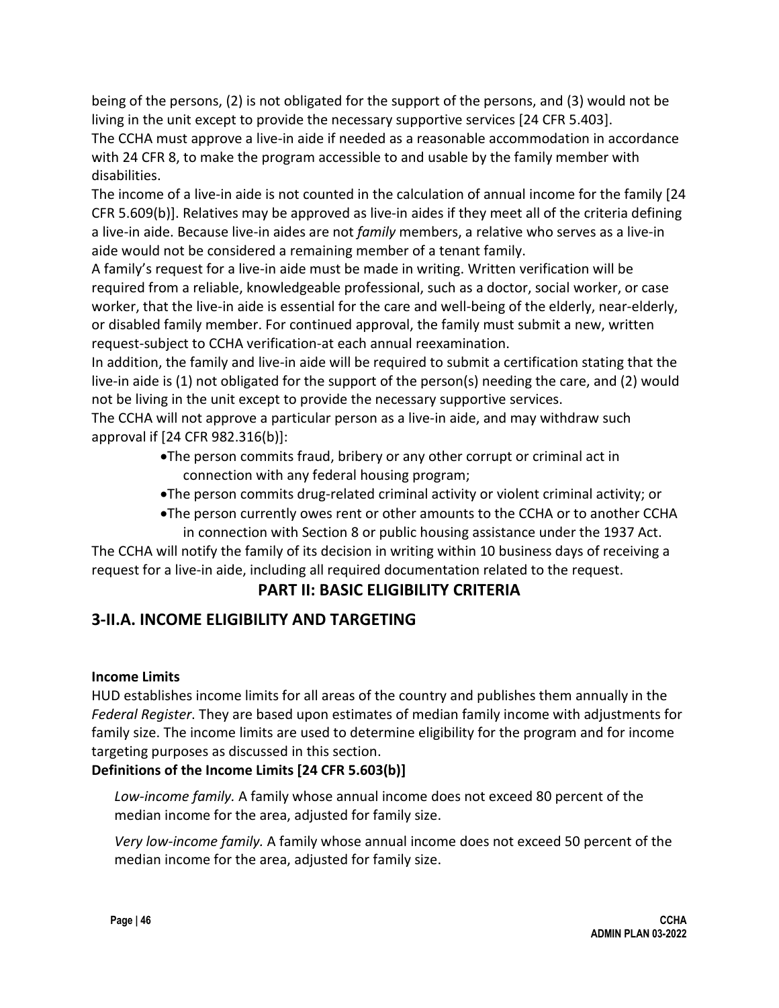being of the persons, (2) is not obligated for the support of the persons, and (3) would not be living in the unit except to provide the necessary supportive services [24 CFR 5.403]. The CCHA must approve a live-in aide if needed as a reasonable accommodation in accordance with 24 CFR 8, to make the program accessible to and usable by the family member with disabilities.

The income of a live-in aide is not counted in the calculation of annual income for the family [24 CFR 5.609(b)]. Relatives may be approved as live-in aides if they meet all of the criteria defining a live-in aide. Because live-in aides are not *family* members, a relative who serves as a live-in aide would not be considered a remaining member of a tenant family.

A family's request for a live-in aide must be made in writing. Written verification will be required from a reliable, knowledgeable professional, such as a doctor, social worker, or case worker, that the live-in aide is essential for the care and well-being of the elderly, near-elderly, or disabled family member. For continued approval, the family must submit a new, written request-subject to CCHA verification-at each annual reexamination.

In addition, the family and live-in aide will be required to submit a certification stating that the live-in aide is (1) not obligated for the support of the person(s) needing the care, and (2) would not be living in the unit except to provide the necessary supportive services.

The CCHA will not approve a particular person as a live-in aide, and may withdraw such approval if [24 CFR 982.316(b)]:

> •The person commits fraud, bribery or any other corrupt or criminal act in connection with any federal housing program;

•The person commits drug-related criminal activity or violent criminal activity; or

•The person currently owes rent or other amounts to the CCHA or to another CCHA in connection with Section 8 or public housing assistance under the 1937 Act.

The CCHA will notify the family of its decision in writing within 10 business days of receiving a request for a live-in aide, including all required documentation related to the request.

# **PART II: BASIC ELIGIBILITY CRITERIA**

# **3-II.A. INCOME ELIGIBILITY AND TARGETING**

## **Income Limits**

HUD establishes income limits for all areas of the country and publishes them annually in the *Federal Register*. They are based upon estimates of median family income with adjustments for family size. The income limits are used to determine eligibility for the program and for income targeting purposes as discussed in this section.

## **Definitions of the Income Limits [24 CFR 5.603(b)]**

*Low-income family.* A family whose annual income does not exceed 80 percent of the median income for the area, adjusted for family size.

*Very low-income family.* A family whose annual income does not exceed 50 percent of the median income for the area, adjusted for family size.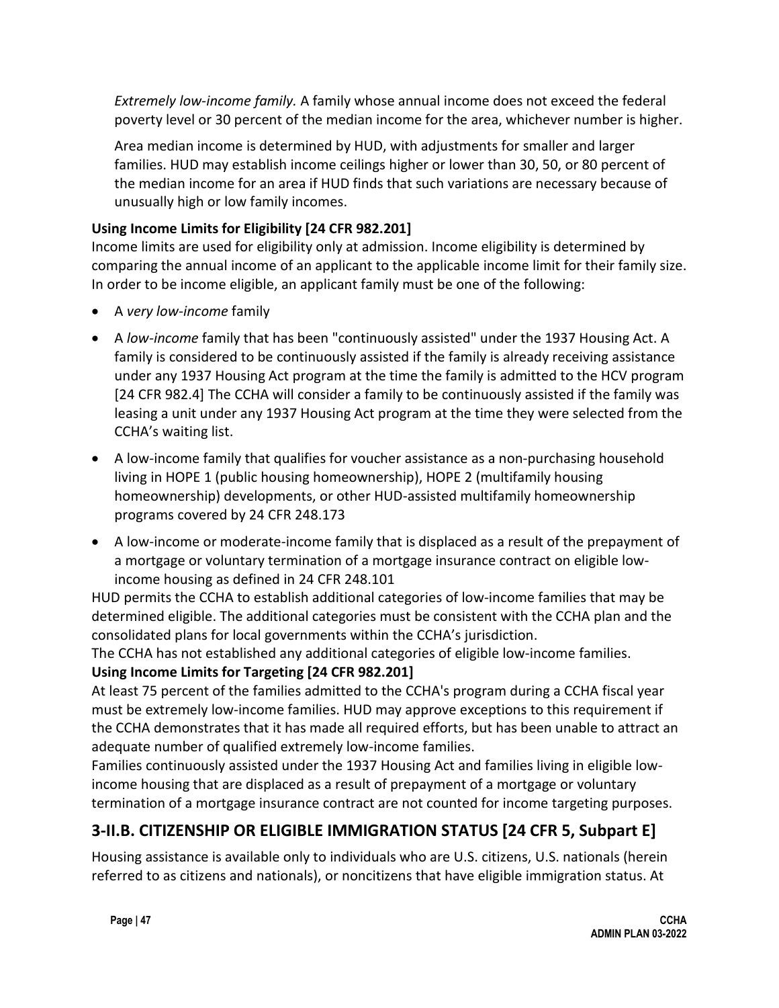*Extremely low-income family.* A family whose annual income does not exceed the federal poverty level or 30 percent of the median income for the area, whichever number is higher.

Area median income is determined by HUD, with adjustments for smaller and larger families. HUD may establish income ceilings higher or lower than 30, 50, or 80 percent of the median income for an area if HUD finds that such variations are necessary because of unusually high or low family incomes.

# **Using Income Limits for Eligibility [24 CFR 982.201]**

Income limits are used for eligibility only at admission. Income eligibility is determined by comparing the annual income of an applicant to the applicable income limit for their family size. In order to be income eligible, an applicant family must be one of the following:

- A *very low-income* family
- A *low-income* family that has been "continuously assisted" under the 1937 Housing Act. A family is considered to be continuously assisted if the family is already receiving assistance under any 1937 Housing Act program at the time the family is admitted to the HCV program [24 CFR 982.4] The CCHA will consider a family to be continuously assisted if the family was leasing a unit under any 1937 Housing Act program at the time they were selected from the CCHA's waiting list.
- A low-income family that qualifies for voucher assistance as a non-purchasing household living in HOPE 1 (public housing homeownership), HOPE 2 (multifamily housing homeownership) developments, or other HUD-assisted multifamily homeownership programs covered by 24 CFR 248.173
- A low-income or moderate-income family that is displaced as a result of the prepayment of a mortgage or voluntary termination of a mortgage insurance contract on eligible lowincome housing as defined in 24 CFR 248.101

HUD permits the CCHA to establish additional categories of low-income families that may be determined eligible. The additional categories must be consistent with the CCHA plan and the consolidated plans for local governments within the CCHA's jurisdiction.

The CCHA has not established any additional categories of eligible low-income families. **Using Income Limits for Targeting [24 CFR 982.201]**

At least 75 percent of the families admitted to the CCHA's program during a CCHA fiscal year must be extremely low-income families. HUD may approve exceptions to this requirement if the CCHA demonstrates that it has made all required efforts, but has been unable to attract an adequate number of qualified extremely low-income families.

Families continuously assisted under the 1937 Housing Act and families living in eligible lowincome housing that are displaced as a result of prepayment of a mortgage or voluntary termination of a mortgage insurance contract are not counted for income targeting purposes.

# **3-II.B. CITIZENSHIP OR ELIGIBLE IMMIGRATION STATUS [24 CFR 5, Subpart E]**

Housing assistance is available only to individuals who are U.S. citizens, U.S. nationals (herein referred to as citizens and nationals), or noncitizens that have eligible immigration status. At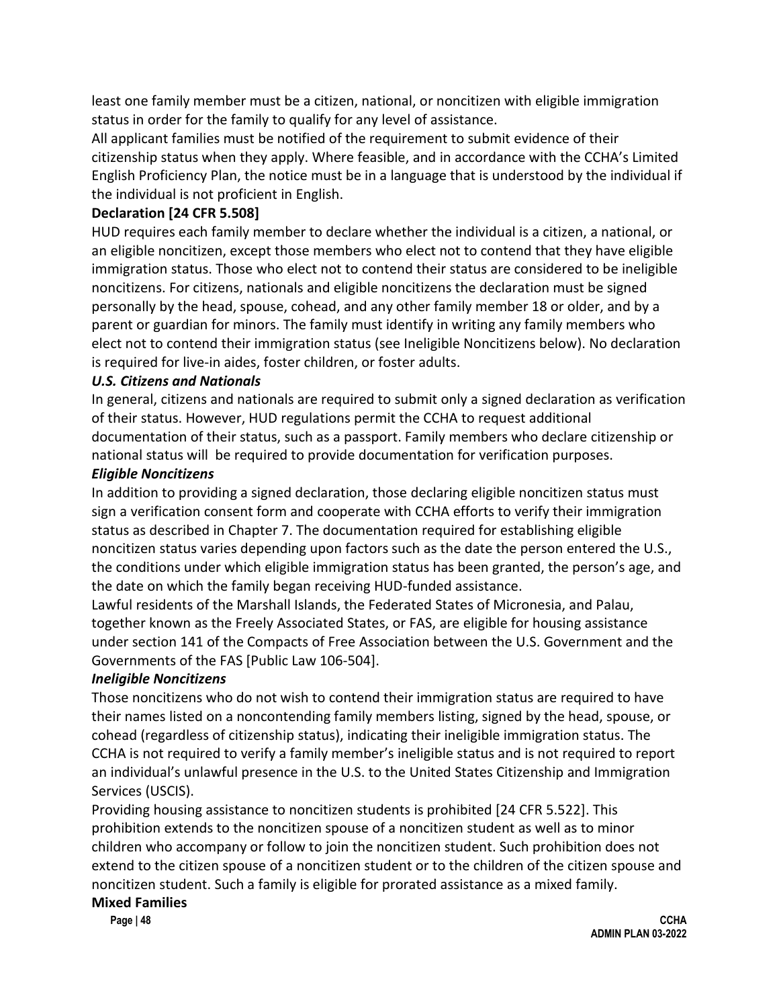least one family member must be a citizen, national, or noncitizen with eligible immigration status in order for the family to qualify for any level of assistance.

All applicant families must be notified of the requirement to submit evidence of their citizenship status when they apply. Where feasible, and in accordance with the CCHA's Limited English Proficiency Plan, the notice must be in a language that is understood by the individual if the individual is not proficient in English.

#### **Declaration [24 CFR 5.508]**

HUD requires each family member to declare whether the individual is a citizen, a national, or an eligible noncitizen, except those members who elect not to contend that they have eligible immigration status. Those who elect not to contend their status are considered to be ineligible noncitizens. For citizens, nationals and eligible noncitizens the declaration must be signed personally by the head, spouse, cohead, and any other family member 18 or older, and by a parent or guardian for minors. The family must identify in writing any family members who elect not to contend their immigration status (see Ineligible Noncitizens below). No declaration is required for live-in aides, foster children, or foster adults.

#### *U.S. Citizens and Nationals*

In general, citizens and nationals are required to submit only a signed declaration as verification of their status. However, HUD regulations permit the CCHA to request additional documentation of their status, such as a passport. Family members who declare citizenship or national status will be required to provide documentation for verification purposes.

#### *Eligible Noncitizens*

In addition to providing a signed declaration, those declaring eligible noncitizen status must sign a verification consent form and cooperate with CCHA efforts to verify their immigration status as described in Chapter 7. The documentation required for establishing eligible noncitizen status varies depending upon factors such as the date the person entered the U.S., the conditions under which eligible immigration status has been granted, the person's age, and the date on which the family began receiving HUD-funded assistance.

Lawful residents of the Marshall Islands, the Federated States of Micronesia, and Palau, together known as the Freely Associated States, or FAS, are eligible for housing assistance under section 141 of the Compacts of Free Association between the U.S. Government and the Governments of the FAS [Public Law 106-504].

### *Ineligible Noncitizens*

Those noncitizens who do not wish to contend their immigration status are required to have their names listed on a noncontending family members listing, signed by the head, spouse, or cohead (regardless of citizenship status), indicating their ineligible immigration status. The CCHA is not required to verify a family member's ineligible status and is not required to report an individual's unlawful presence in the U.S. to the United States Citizenship and Immigration Services (USCIS).

Providing housing assistance to noncitizen students is prohibited [24 CFR 5.522]. This prohibition extends to the noncitizen spouse of a noncitizen student as well as to minor children who accompany or follow to join the noncitizen student. Such prohibition does not extend to the citizen spouse of a noncitizen student or to the children of the citizen spouse and noncitizen student. Such a family is eligible for prorated assistance as a mixed family.

# **Mixed Families**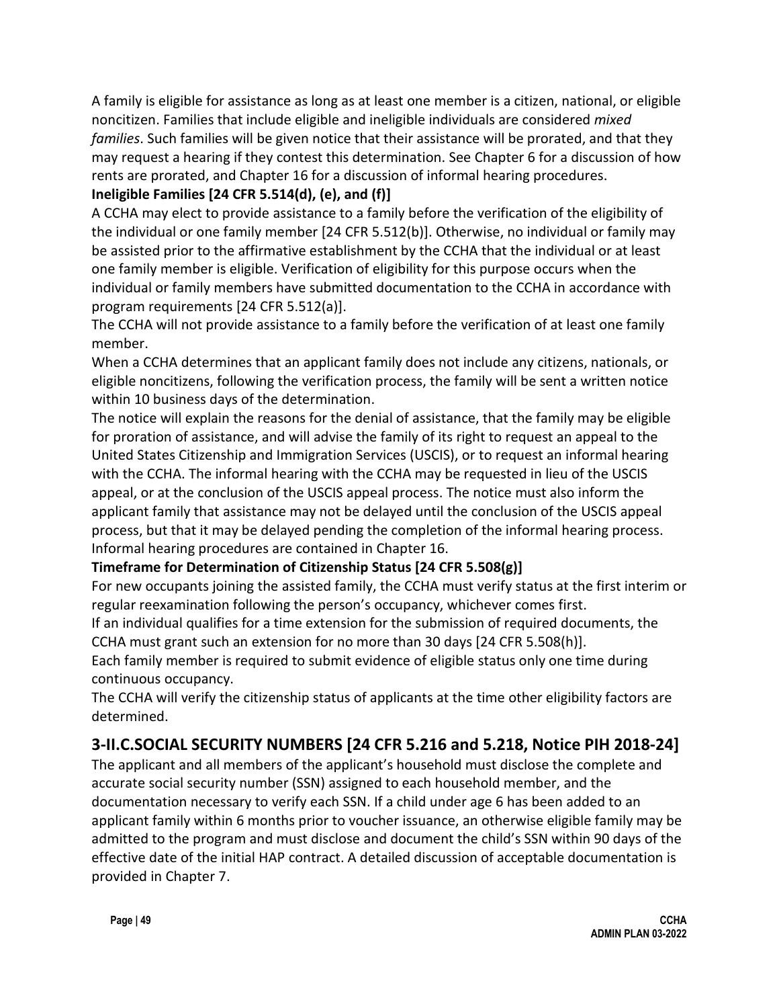A family is eligible for assistance as long as at least one member is a citizen, national, or eligible noncitizen. Families that include eligible and ineligible individuals are considered *mixed families*. Such families will be given notice that their assistance will be prorated, and that they may request a hearing if they contest this determination. See Chapter 6 for a discussion of how rents are prorated, and Chapter 16 for a discussion of informal hearing procedures.

## **Ineligible Families [24 CFR 5.514(d), (e), and (f)]**

A CCHA may elect to provide assistance to a family before the verification of the eligibility of the individual or one family member [24 CFR 5.512(b)]. Otherwise, no individual or family may be assisted prior to the affirmative establishment by the CCHA that the individual or at least one family member is eligible. Verification of eligibility for this purpose occurs when the individual or family members have submitted documentation to the CCHA in accordance with program requirements [24 CFR 5.512(a)].

The CCHA will not provide assistance to a family before the verification of at least one family member.

When a CCHA determines that an applicant family does not include any citizens, nationals, or eligible noncitizens, following the verification process, the family will be sent a written notice within 10 business days of the determination.

The notice will explain the reasons for the denial of assistance, that the family may be eligible for proration of assistance, and will advise the family of its right to request an appeal to the United States Citizenship and Immigration Services (USCIS), or to request an informal hearing with the CCHA. The informal hearing with the CCHA may be requested in lieu of the USCIS appeal, or at the conclusion of the USCIS appeal process. The notice must also inform the applicant family that assistance may not be delayed until the conclusion of the USCIS appeal process, but that it may be delayed pending the completion of the informal hearing process. Informal hearing procedures are contained in Chapter 16.

## **Timeframe for Determination of Citizenship Status [24 CFR 5.508(g)]**

For new occupants joining the assisted family, the CCHA must verify status at the first interim or regular reexamination following the person's occupancy, whichever comes first.

If an individual qualifies for a time extension for the submission of required documents, the CCHA must grant such an extension for no more than 30 days [24 CFR 5.508(h)].

Each family member is required to submit evidence of eligible status only one time during continuous occupancy.

The CCHA will verify the citizenship status of applicants at the time other eligibility factors are determined.

# **3-II.C.SOCIAL SECURITY NUMBERS [24 CFR 5.216 and 5.218, Notice PIH 2018-24]**

The applicant and all members of the applicant's household must disclose the complete and accurate social security number (SSN) assigned to each household member, and the documentation necessary to verify each SSN. If a child under age 6 has been added to an applicant family within 6 months prior to voucher issuance, an otherwise eligible family may be admitted to the program and must disclose and document the child's SSN within 90 days of the effective date of the initial HAP contract. A detailed discussion of acceptable documentation is provided in Chapter 7.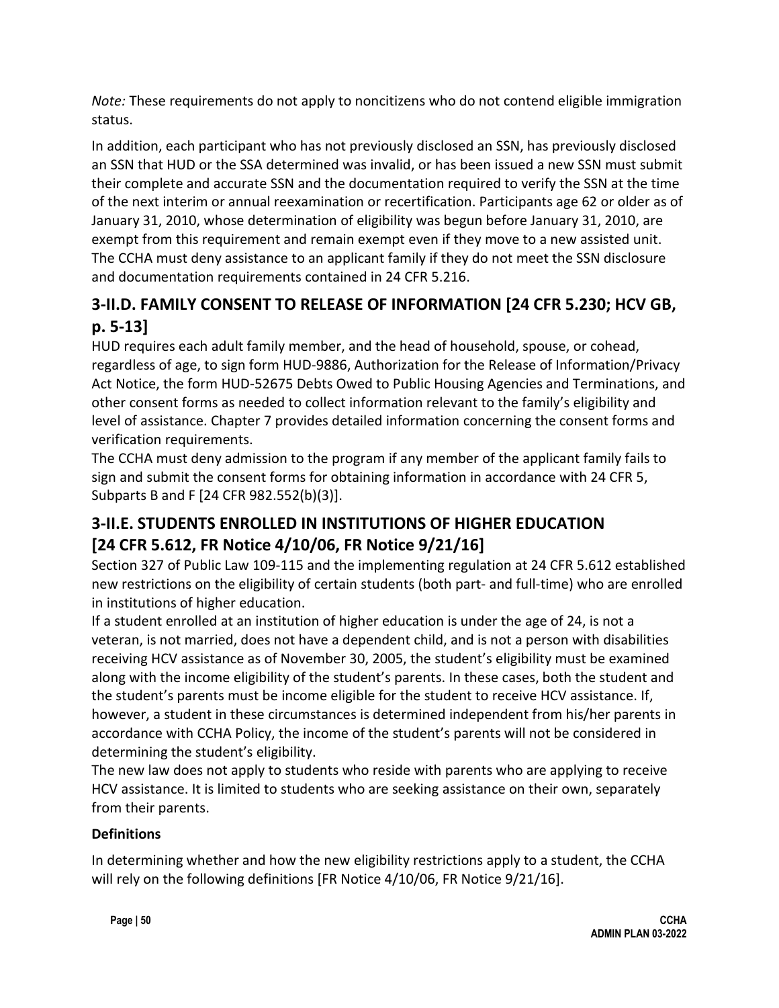*Note:* These requirements do not apply to noncitizens who do not contend eligible immigration status.

In addition, each participant who has not previously disclosed an SSN, has previously disclosed an SSN that HUD or the SSA determined was invalid, or has been issued a new SSN must submit their complete and accurate SSN and the documentation required to verify the SSN at the time of the next interim or annual reexamination or recertification. Participants age 62 or older as of January 31, 2010, whose determination of eligibility was begun before January 31, 2010, are exempt from this requirement and remain exempt even if they move to a new assisted unit. The CCHA must deny assistance to an applicant family if they do not meet the SSN disclosure and documentation requirements contained in 24 CFR 5.216.

# **3-II.D. FAMILY CONSENT TO RELEASE OF INFORMATION [24 CFR 5.230; HCV GB, p. 5-13]**

HUD requires each adult family member, and the head of household, spouse, or cohead, regardless of age, to sign form HUD-9886, Authorization for the Release of Information/Privacy Act Notice, the form HUD-52675 Debts Owed to Public Housing Agencies and Terminations, and other consent forms as needed to collect information relevant to the family's eligibility and level of assistance. Chapter 7 provides detailed information concerning the consent forms and verification requirements.

The CCHA must deny admission to the program if any member of the applicant family fails to sign and submit the consent forms for obtaining information in accordance with 24 CFR 5, Subparts B and F [24 CFR 982.552(b)(3)].

# **3-II.E. STUDENTS ENROLLED IN INSTITUTIONS OF HIGHER EDUCATION [24 CFR 5.612, FR Notice 4/10/06, FR Notice 9/21/16]**

Section 327 of Public Law 109-115 and the implementing regulation at 24 CFR 5.612 established new restrictions on the eligibility of certain students (both part- and full-time) who are enrolled in institutions of higher education.

If a student enrolled at an institution of higher education is under the age of 24, is not a veteran, is not married, does not have a dependent child, and is not a person with disabilities receiving HCV assistance as of November 30, 2005, the student's eligibility must be examined along with the income eligibility of the student's parents. In these cases, both the student and the student's parents must be income eligible for the student to receive HCV assistance. If, however, a student in these circumstances is determined independent from his/her parents in accordance with CCHA Policy, the income of the student's parents will not be considered in determining the student's eligibility.

The new law does not apply to students who reside with parents who are applying to receive HCV assistance. It is limited to students who are seeking assistance on their own, separately from their parents.

## **Definitions**

In determining whether and how the new eligibility restrictions apply to a student, the CCHA will rely on the following definitions [FR Notice 4/10/06, FR Notice 9/21/16].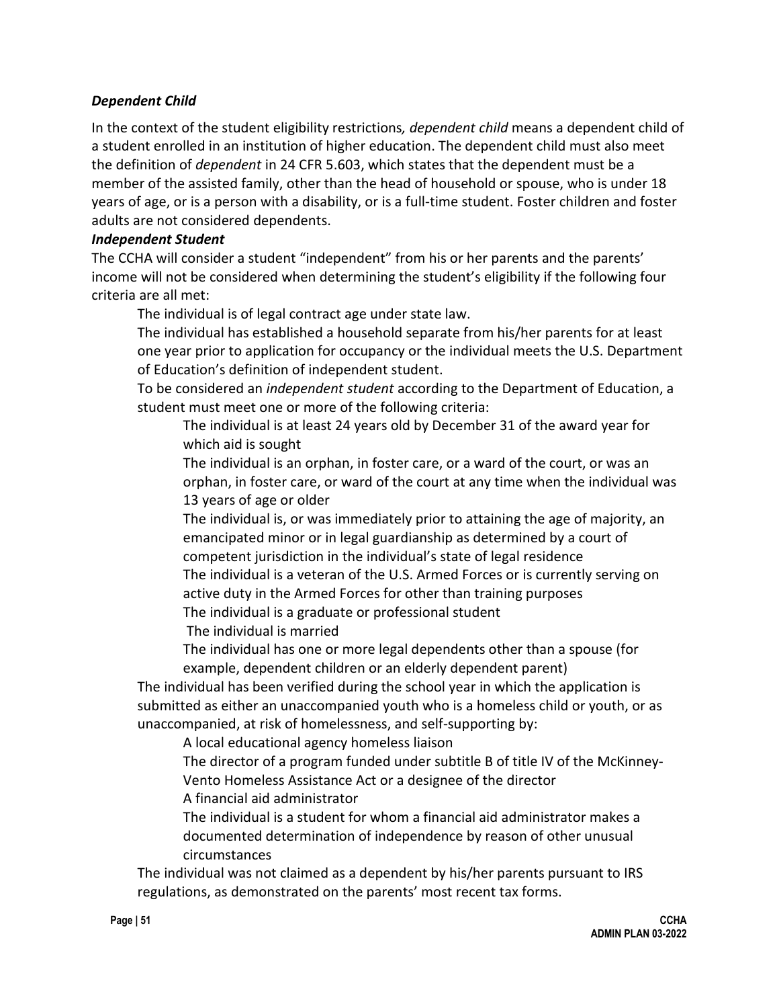#### *Dependent Child*

In the context of the student eligibility restrictions*, dependent child* means a dependent child of a student enrolled in an institution of higher education. The dependent child must also meet the definition of *dependent* in 24 CFR 5.603, which states that the dependent must be a member of the assisted family, other than the head of household or spouse, who is under 18 years of age, or is a person with a disability, or is a full-time student. Foster children and foster adults are not considered dependents.

#### *Independent Student*

The CCHA will consider a student "independent" from his or her parents and the parents' income will not be considered when determining the student's eligibility if the following four criteria are all met:

The individual is of legal contract age under state law.

The individual has established a household separate from his/her parents for at least one year prior to application for occupancy or the individual meets the U.S. Department of Education's definition of independent student.

To be considered an *independent student* according to the Department of Education, a student must meet one or more of the following criteria:

The individual is at least 24 years old by December 31 of the award year for which aid is sought

The individual is an orphan, in foster care, or a ward of the court, or was an orphan, in foster care, or ward of the court at any time when the individual was 13 years of age or older

The individual is, or was immediately prior to attaining the age of majority, an emancipated minor or in legal guardianship as determined by a court of competent jurisdiction in the individual's state of legal residence The individual is a veteran of the U.S. Armed Forces or is currently serving on active duty in the Armed Forces for other than training purposes

The individual is a graduate or professional student

The individual is married

The individual has one or more legal dependents other than a spouse (for example, dependent children or an elderly dependent parent)

The individual has been verified during the school year in which the application is submitted as either an unaccompanied youth who is a homeless child or youth, or as unaccompanied, at risk of homelessness, and self-supporting by:

A local educational agency homeless liaison

The director of a program funded under subtitle B of title IV of the McKinney-Vento Homeless Assistance Act or a designee of the director

A financial aid administrator

The individual is a student for whom a financial aid administrator makes a documented determination of independence by reason of other unusual circumstances

The individual was not claimed as a dependent by his/her parents pursuant to IRS regulations, as demonstrated on the parents' most recent tax forms.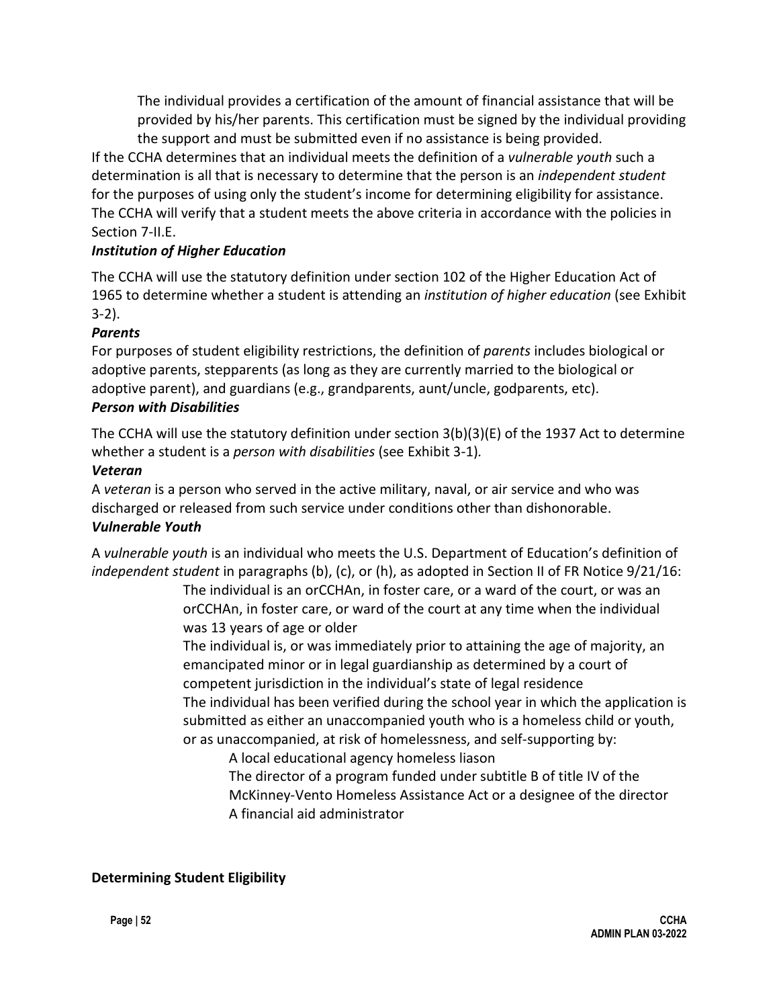The individual provides a certification of the amount of financial assistance that will be provided by his/her parents. This certification must be signed by the individual providing the support and must be submitted even if no assistance is being provided.

If the CCHA determines that an individual meets the definition of a *vulnerable youth* such a determination is all that is necessary to determine that the person is an *independent student* for the purposes of using only the student's income for determining eligibility for assistance. The CCHA will verify that a student meets the above criteria in accordance with the policies in Section 7-II.E.

### *Institution of Higher Education*

The CCHA will use the statutory definition under section 102 of the Higher Education Act of 1965 to determine whether a student is attending an *institution of higher education* (see Exhibit 3-2).

### *Parents*

For purposes of student eligibility restrictions, the definition of *parents* includes biological or adoptive parents, stepparents (as long as they are currently married to the biological or adoptive parent), and guardians (e.g., grandparents, aunt/uncle, godparents, etc).

### *Person with Disabilities*

The CCHA will use the statutory definition under section 3(b)(3)(E) of the 1937 Act to determine whether a student is a *person with disabilities* (see Exhibit 3-1)*.*

### *Veteran*

A *veteran* is a person who served in the active military, naval, or air service and who was discharged or released from such service under conditions other than dishonorable. *Vulnerable Youth*

A *vulnerable youth* is an individual who meets the U.S. Department of Education's definition of *independent student* in paragraphs (b), (c), or (h), as adopted in Section II of FR Notice 9/21/16:

The individual is an orCCHAn, in foster care, or a ward of the court, or was an orCCHAn, in foster care, or ward of the court at any time when the individual was 13 years of age or older

The individual is, or was immediately prior to attaining the age of majority, an emancipated minor or in legal guardianship as determined by a court of competent jurisdiction in the individual's state of legal residence The individual has been verified during the school year in which the application is submitted as either an unaccompanied youth who is a homeless child or youth, or as unaccompanied, at risk of homelessness, and self-supporting by:

A local educational agency homeless liason

The director of a program funded under subtitle B of title IV of the McKinney-Vento Homeless Assistance Act or a designee of the director A financial aid administrator

## **Determining Student Eligibility**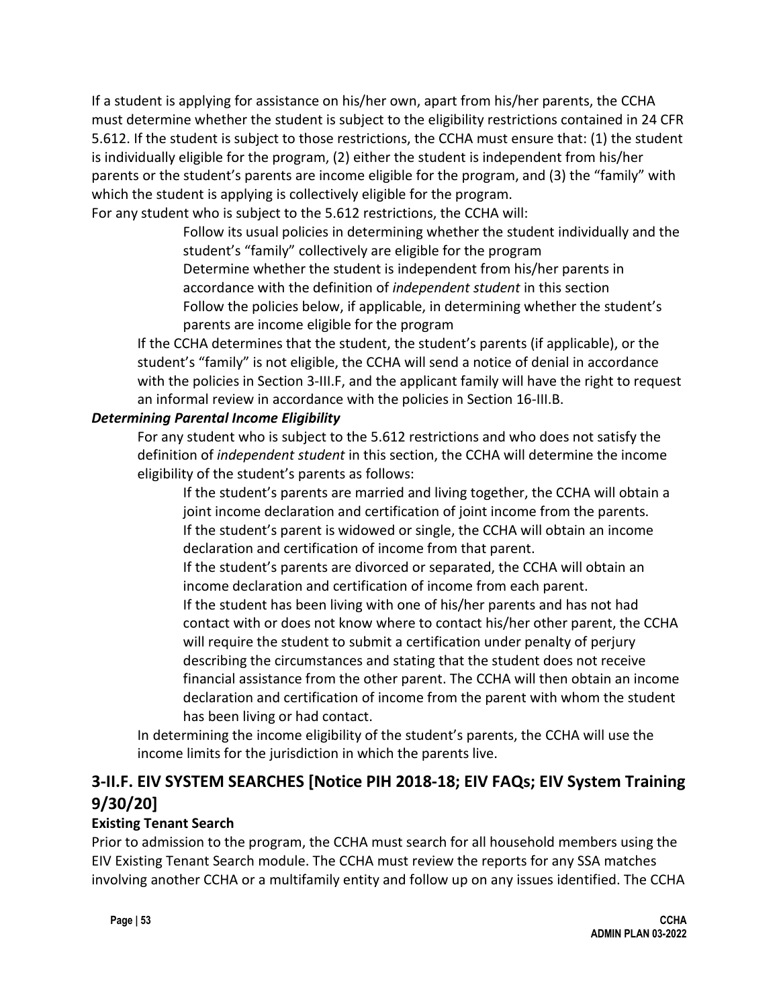If a student is applying for assistance on his/her own, apart from his/her parents, the CCHA must determine whether the student is subject to the eligibility restrictions contained in 24 CFR 5.612. If the student is subject to those restrictions, the CCHA must ensure that: (1) the student is individually eligible for the program, (2) either the student is independent from his/her parents or the student's parents are income eligible for the program, and (3) the "family" with which the student is applying is collectively eligible for the program.

For any student who is subject to the 5.612 restrictions, the CCHA will:

Follow its usual policies in determining whether the student individually and the student's "family" collectively are eligible for the program

Determine whether the student is independent from his/her parents in accordance with the definition of *independent student* in this section Follow the policies below, if applicable, in determining whether the student's parents are income eligible for the program

If the CCHA determines that the student, the student's parents (if applicable), or the student's "family" is not eligible, the CCHA will send a notice of denial in accordance with the policies in Section 3-III.F, and the applicant family will have the right to request an informal review in accordance with the policies in Section 16-III.B.

#### *Determining Parental Income Eligibility*

For any student who is subject to the 5.612 restrictions and who does not satisfy the definition of *independent student* in this section, the CCHA will determine the income eligibility of the student's parents as follows:

If the student's parents are married and living together, the CCHA will obtain a joint income declaration and certification of joint income from the parents. If the student's parent is widowed or single, the CCHA will obtain an income declaration and certification of income from that parent.

If the student's parents are divorced or separated, the CCHA will obtain an income declaration and certification of income from each parent.

If the student has been living with one of his/her parents and has not had contact with or does not know where to contact his/her other parent, the CCHA will require the student to submit a certification under penalty of perjury describing the circumstances and stating that the student does not receive financial assistance from the other parent. The CCHA will then obtain an income declaration and certification of income from the parent with whom the student has been living or had contact.

In determining the income eligibility of the student's parents, the CCHA will use the income limits for the jurisdiction in which the parents live.

# **3-II.F. EIV SYSTEM SEARCHES [Notice PIH 2018-18; EIV FAQs; EIV System Training 9/30/20]**

### **Existing Tenant Search**

Prior to admission to the program, the CCHA must search for all household members using the EIV Existing Tenant Search module. The CCHA must review the reports for any SSA matches involving another CCHA or a multifamily entity and follow up on any issues identified. The CCHA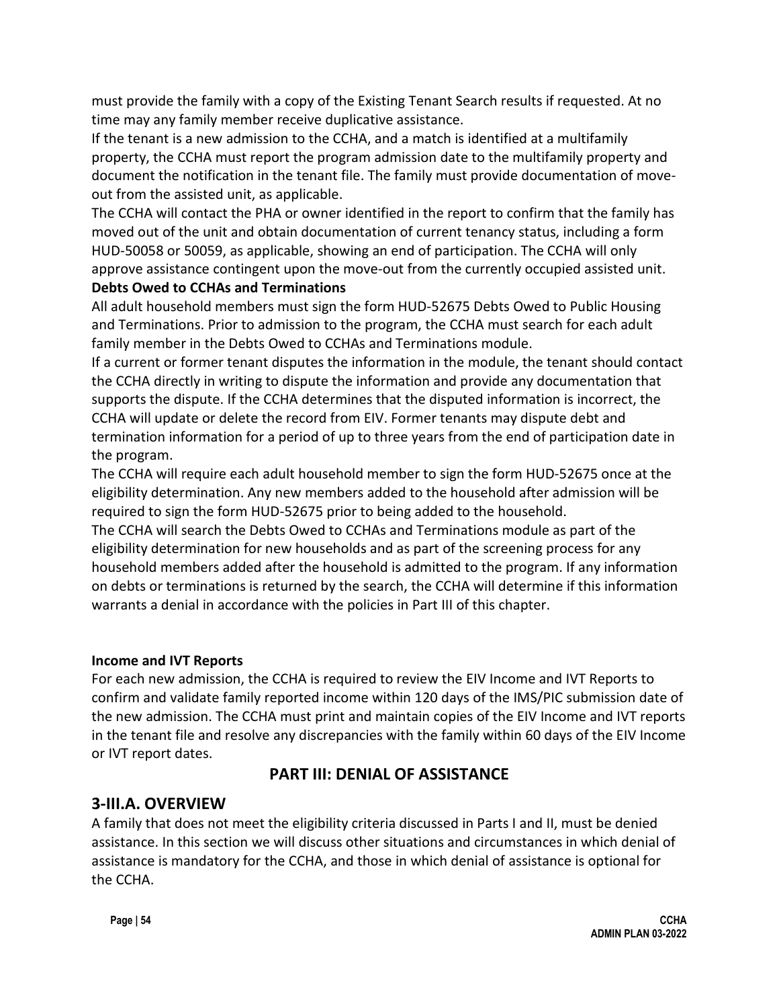must provide the family with a copy of the Existing Tenant Search results if requested. At no time may any family member receive duplicative assistance.

If the tenant is a new admission to the CCHA, and a match is identified at a multifamily property, the CCHA must report the program admission date to the multifamily property and document the notification in the tenant file. The family must provide documentation of moveout from the assisted unit, as applicable.

The CCHA will contact the PHA or owner identified in the report to confirm that the family has moved out of the unit and obtain documentation of current tenancy status, including a form HUD-50058 or 50059, as applicable, showing an end of participation. The CCHA will only approve assistance contingent upon the move-out from the currently occupied assisted unit.

### **Debts Owed to CCHAs and Terminations**

All adult household members must sign the form HUD-52675 Debts Owed to Public Housing and Terminations. Prior to admission to the program, the CCHA must search for each adult family member in the Debts Owed to CCHAs and Terminations module.

If a current or former tenant disputes the information in the module, the tenant should contact the CCHA directly in writing to dispute the information and provide any documentation that supports the dispute. If the CCHA determines that the disputed information is incorrect, the CCHA will update or delete the record from EIV. Former tenants may dispute debt and termination information for a period of up to three years from the end of participation date in the program.

The CCHA will require each adult household member to sign the form HUD-52675 once at the eligibility determination. Any new members added to the household after admission will be required to sign the form HUD-52675 prior to being added to the household.

The CCHA will search the Debts Owed to CCHAs and Terminations module as part of the eligibility determination for new households and as part of the screening process for any household members added after the household is admitted to the program. If any information on debts or terminations is returned by the search, the CCHA will determine if this information warrants a denial in accordance with the policies in Part III of this chapter.

### **Income and IVT Reports**

For each new admission, the CCHA is required to review the EIV Income and IVT Reports to confirm and validate family reported income within 120 days of the IMS/PIC submission date of the new admission. The CCHA must print and maintain copies of the EIV Income and IVT reports in the tenant file and resolve any discrepancies with the family within 60 days of the EIV Income or IVT report dates.

## **PART III: DENIAL OF ASSISTANCE**

## **3-III.A. OVERVIEW**

A family that does not meet the eligibility criteria discussed in Parts I and II, must be denied assistance. In this section we will discuss other situations and circumstances in which denial of assistance is mandatory for the CCHA, and those in which denial of assistance is optional for the CCHA.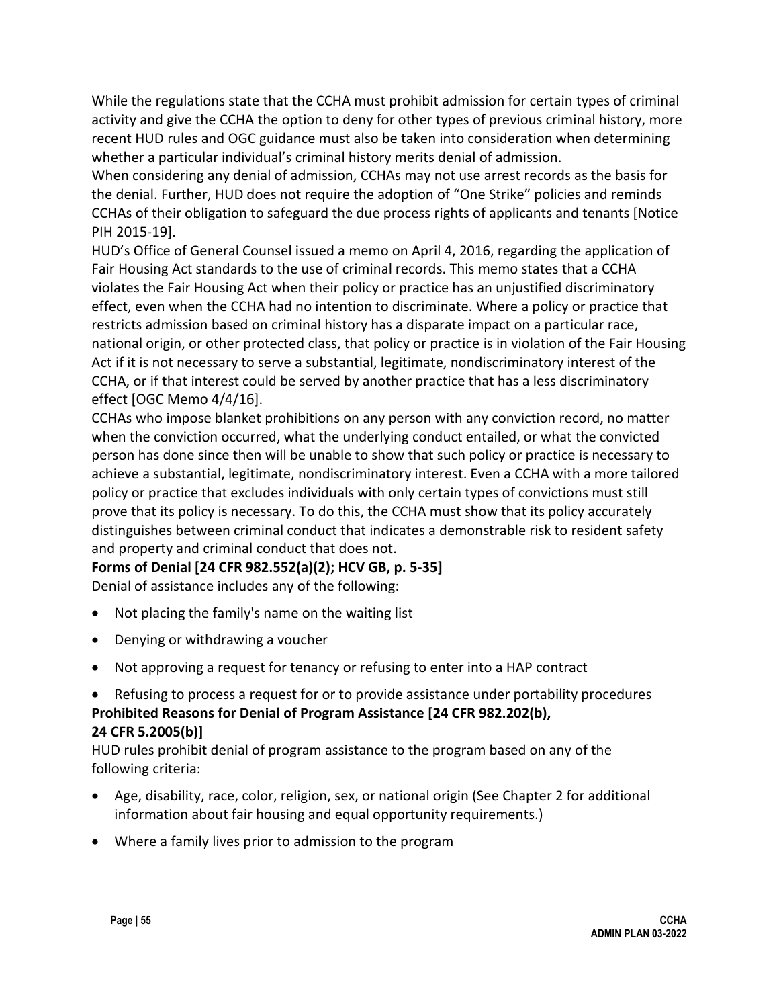While the regulations state that the CCHA must prohibit admission for certain types of criminal activity and give the CCHA the option to deny for other types of previous criminal history, more recent HUD rules and OGC guidance must also be taken into consideration when determining whether a particular individual's criminal history merits denial of admission.

When considering any denial of admission, CCHAs may not use arrest records as the basis for the denial. Further, HUD does not require the adoption of "One Strike" policies and reminds CCHAs of their obligation to safeguard the due process rights of applicants and tenants [Notice PIH 2015-19].

HUD's Office of General Counsel issued a memo on April 4, 2016, regarding the application of Fair Housing Act standards to the use of criminal records. This memo states that a CCHA violates the Fair Housing Act when their policy or practice has an unjustified discriminatory effect, even when the CCHA had no intention to discriminate. Where a policy or practice that restricts admission based on criminal history has a disparate impact on a particular race, national origin, or other protected class, that policy or practice is in violation of the Fair Housing Act if it is not necessary to serve a substantial, legitimate, nondiscriminatory interest of the CCHA, or if that interest could be served by another practice that has a less discriminatory effect [OGC Memo 4/4/16].

CCHAs who impose blanket prohibitions on any person with any conviction record, no matter when the conviction occurred, what the underlying conduct entailed, or what the convicted person has done since then will be unable to show that such policy or practice is necessary to achieve a substantial, legitimate, nondiscriminatory interest. Even a CCHA with a more tailored policy or practice that excludes individuals with only certain types of convictions must still prove that its policy is necessary. To do this, the CCHA must show that its policy accurately distinguishes between criminal conduct that indicates a demonstrable risk to resident safety and property and criminal conduct that does not.

**Forms of Denial [24 CFR 982.552(a)(2); HCV GB, p. 5-35]** Denial of assistance includes any of the following:

- Not placing the family's name on the waiting list
- Denying or withdrawing a voucher
- Not approving a request for tenancy or refusing to enter into a HAP contract
- Refusing to process a request for or to provide assistance under portability procedures **Prohibited Reasons for Denial of Program Assistance [24 CFR 982.202(b), 24 CFR 5.2005(b)]**

HUD rules prohibit denial of program assistance to the program based on any of the following criteria:

- Age, disability, race, color, religion, sex, or national origin (See Chapter 2 for additional information about fair housing and equal opportunity requirements.)
- Where a family lives prior to admission to the program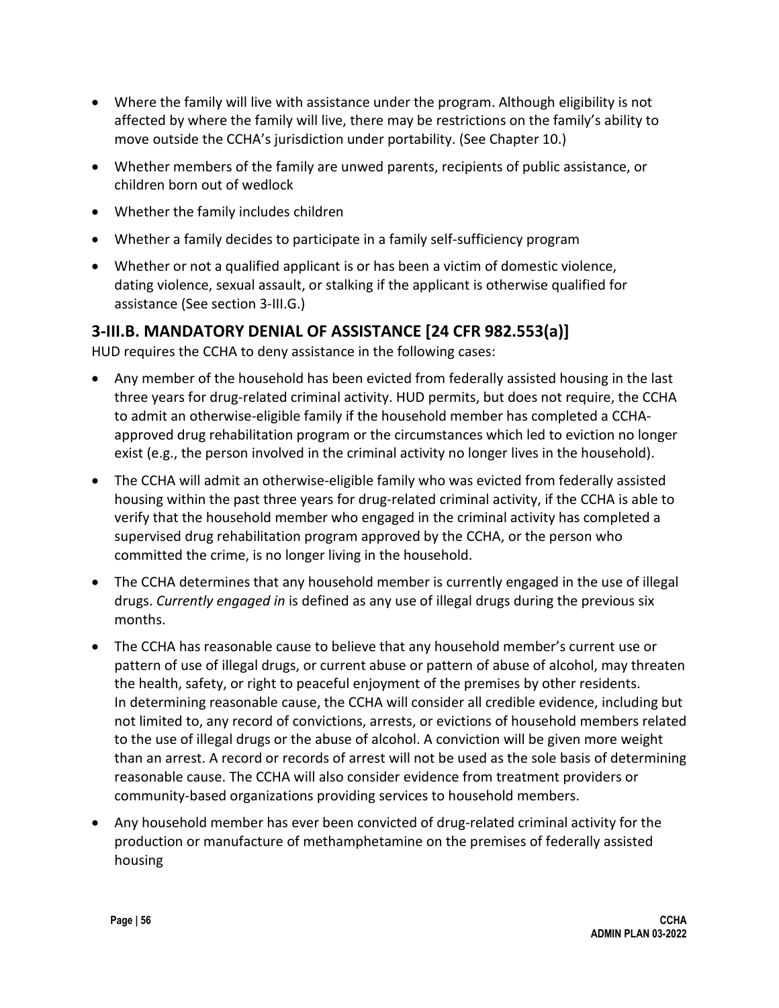- Where the family will live with assistance under the program. Although eligibility is not affected by where the family will live, there may be restrictions on the family's ability to move outside the CCHA's jurisdiction under portability. (See Chapter 10.)
- Whether members of the family are unwed parents, recipients of public assistance, or children born out of wedlock
- Whether the family includes children
- Whether a family decides to participate in a family self-sufficiency program
- Whether or not a qualified applicant is or has been a victim of domestic violence, dating violence, sexual assault, or stalking if the applicant is otherwise qualified for assistance (See section 3-III.G.)

## **3-III.B. MANDATORY DENIAL OF ASSISTANCE [24 CFR 982.553(a)]**

HUD requires the CCHA to deny assistance in the following cases:

- Any member of the household has been evicted from federally assisted housing in the last three years for drug-related criminal activity. HUD permits, but does not require, the CCHA to admit an otherwise-eligible family if the household member has completed a CCHAapproved drug rehabilitation program or the circumstances which led to eviction no longer exist (e.g., the person involved in the criminal activity no longer lives in the household).
- The CCHA will admit an otherwise-eligible family who was evicted from federally assisted housing within the past three years for drug-related criminal activity, if the CCHA is able to verify that the household member who engaged in the criminal activity has completed a supervised drug rehabilitation program approved by the CCHA, or the person who committed the crime, is no longer living in the household.
- The CCHA determines that any household member is currently engaged in the use of illegal drugs. *Currently engaged in* is defined as any use of illegal drugs during the previous six months.
- The CCHA has reasonable cause to believe that any household member's current use or pattern of use of illegal drugs, or current abuse or pattern of abuse of alcohol, may threaten the health, safety, or right to peaceful enjoyment of the premises by other residents. In determining reasonable cause, the CCHA will consider all credible evidence, including but not limited to, any record of convictions, arrests, or evictions of household members related to the use of illegal drugs or the abuse of alcohol. A conviction will be given more weight than an arrest. A record or records of arrest will not be used as the sole basis of determining reasonable cause. The CCHA will also consider evidence from treatment providers or community-based organizations providing services to household members.
- Any household member has ever been convicted of drug-related criminal activity for the production or manufacture of methamphetamine on the premises of federally assisted housing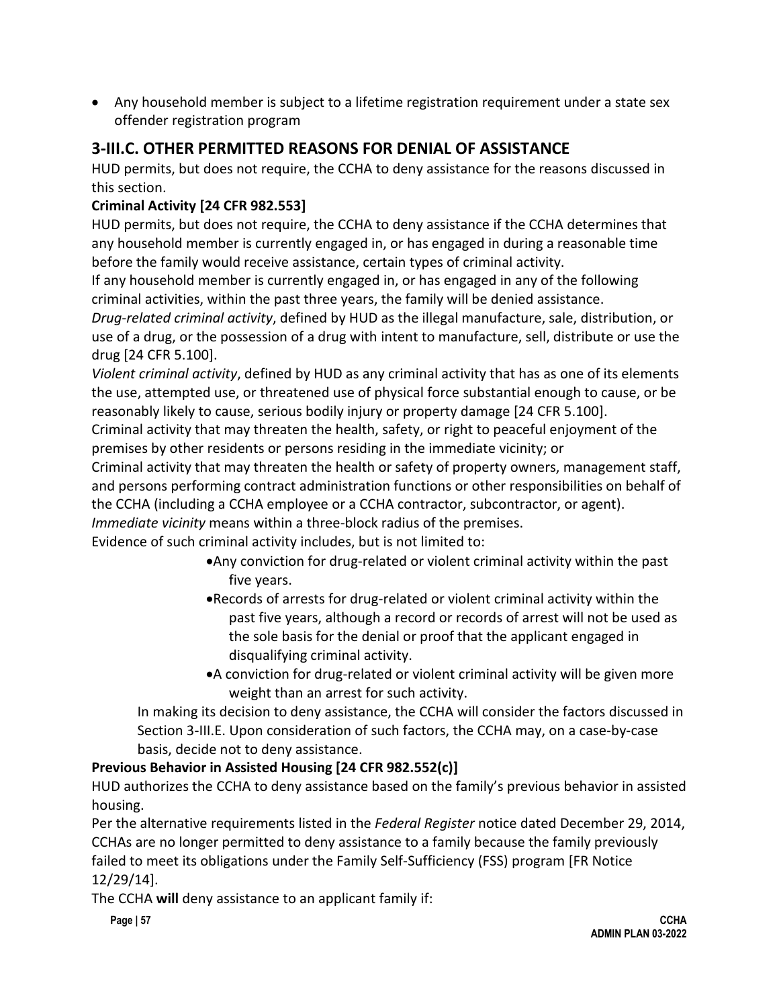• Any household member is subject to a lifetime registration requirement under a state sex offender registration program

# **3-III.C. OTHER PERMITTED REASONS FOR DENIAL OF ASSISTANCE**

HUD permits, but does not require, the CCHA to deny assistance for the reasons discussed in this section.

## **Criminal Activity [24 CFR 982.553]**

HUD permits, but does not require, the CCHA to deny assistance if the CCHA determines that any household member is currently engaged in, or has engaged in during a reasonable time before the family would receive assistance, certain types of criminal activity.

If any household member is currently engaged in, or has engaged in any of the following criminal activities, within the past three years, the family will be denied assistance.

*Drug-related criminal activity*, defined by HUD as the illegal manufacture, sale, distribution, or use of a drug, or the possession of a drug with intent to manufacture, sell, distribute or use the drug [24 CFR 5.100].

*Violent criminal activity*, defined by HUD as any criminal activity that has as one of its elements the use, attempted use, or threatened use of physical force substantial enough to cause, or be reasonably likely to cause, serious bodily injury or property damage [24 CFR 5.100].

Criminal activity that may threaten the health, safety, or right to peaceful enjoyment of the premises by other residents or persons residing in the immediate vicinity; or

Criminal activity that may threaten the health or safety of property owners, management staff, and persons performing contract administration functions or other responsibilities on behalf of the CCHA (including a CCHA employee or a CCHA contractor, subcontractor, or agent).

*Immediate vicinity* means within a three-block radius of the premises.

Evidence of such criminal activity includes, but is not limited to:

- •Any conviction for drug-related or violent criminal activity within the past five years.
- •Records of arrests for drug-related or violent criminal activity within the past five years, although a record or records of arrest will not be used as the sole basis for the denial or proof that the applicant engaged in disqualifying criminal activity.
- •A conviction for drug-related or violent criminal activity will be given more weight than an arrest for such activity.

In making its decision to deny assistance, the CCHA will consider the factors discussed in Section 3-III.E. Upon consideration of such factors, the CCHA may, on a case-by-case basis, decide not to deny assistance.

## **Previous Behavior in Assisted Housing [24 CFR 982.552(c)]**

HUD authorizes the CCHA to deny assistance based on the family's previous behavior in assisted housing.

Per the alternative requirements listed in the *Federal Register* notice dated December 29, 2014, CCHAs are no longer permitted to deny assistance to a family because the family previously failed to meet its obligations under the Family Self-Sufficiency (FSS) program [FR Notice 12/29/14].

The CCHA **will** deny assistance to an applicant family if: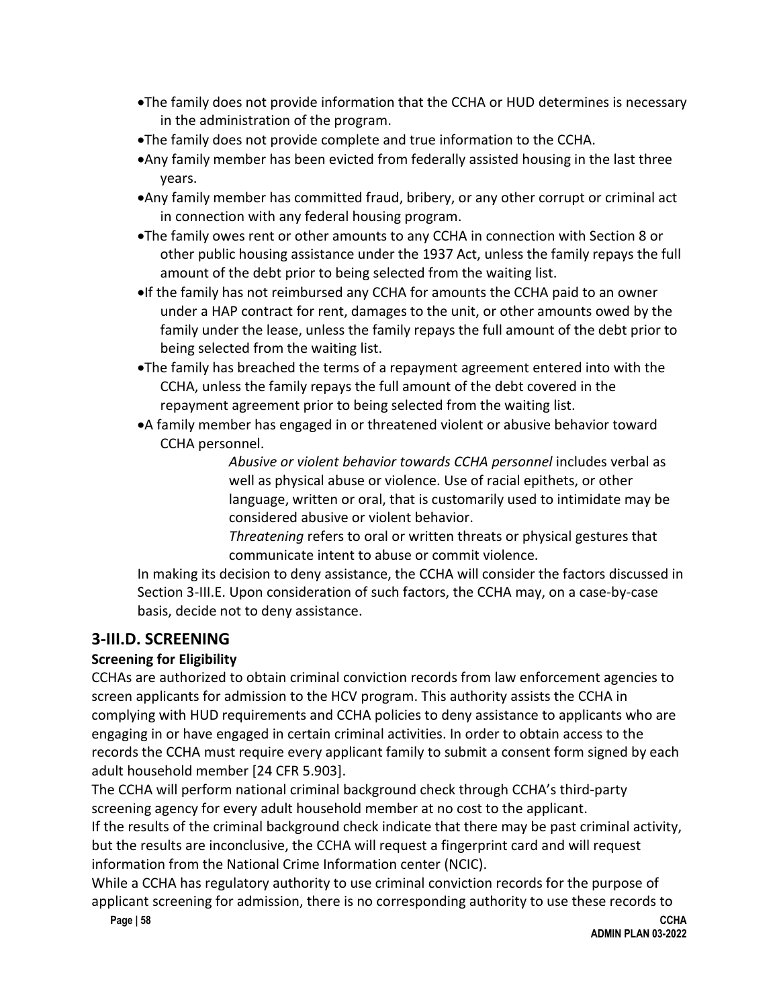- •The family does not provide information that the CCHA or HUD determines is necessary in the administration of the program.
- •The family does not provide complete and true information to the CCHA.
- •Any family member has been evicted from federally assisted housing in the last three years.
- •Any family member has committed fraud, bribery, or any other corrupt or criminal act in connection with any federal housing program.
- •The family owes rent or other amounts to any CCHA in connection with Section 8 or other public housing assistance under the 1937 Act, unless the family repays the full amount of the debt prior to being selected from the waiting list.
- •If the family has not reimbursed any CCHA for amounts the CCHA paid to an owner under a HAP contract for rent, damages to the unit, or other amounts owed by the family under the lease, unless the family repays the full amount of the debt prior to being selected from the waiting list.
- •The family has breached the terms of a repayment agreement entered into with the CCHA, unless the family repays the full amount of the debt covered in the repayment agreement prior to being selected from the waiting list.
- •A family member has engaged in or threatened violent or abusive behavior toward CCHA personnel.

*Abusive or violent behavior towards CCHA personnel* includes verbal as well as physical abuse or violence. Use of racial epithets, or other language, written or oral, that is customarily used to intimidate may be considered abusive or violent behavior.

*Threatening* refers to oral or written threats or physical gestures that communicate intent to abuse or commit violence.

In making its decision to deny assistance, the CCHA will consider the factors discussed in Section 3-III.E. Upon consideration of such factors, the CCHA may, on a case-by-case basis, decide not to deny assistance.

# **3-III.D. SCREENING**

## **Screening for Eligibility**

CCHAs are authorized to obtain criminal conviction records from law enforcement agencies to screen applicants for admission to the HCV program. This authority assists the CCHA in complying with HUD requirements and CCHA policies to deny assistance to applicants who are engaging in or have engaged in certain criminal activities. In order to obtain access to the records the CCHA must require every applicant family to submit a consent form signed by each adult household member [24 CFR 5.903].

The CCHA will perform national criminal background check through CCHA's third-party screening agency for every adult household member at no cost to the applicant.

If the results of the criminal background check indicate that there may be past criminal activity, but the results are inconclusive, the CCHA will request a fingerprint card and will request information from the National Crime Information center (NCIC).

**Page | 58 CCHA**  While a CCHA has regulatory authority to use criminal conviction records for the purpose of applicant screening for admission, there is no corresponding authority to use these records to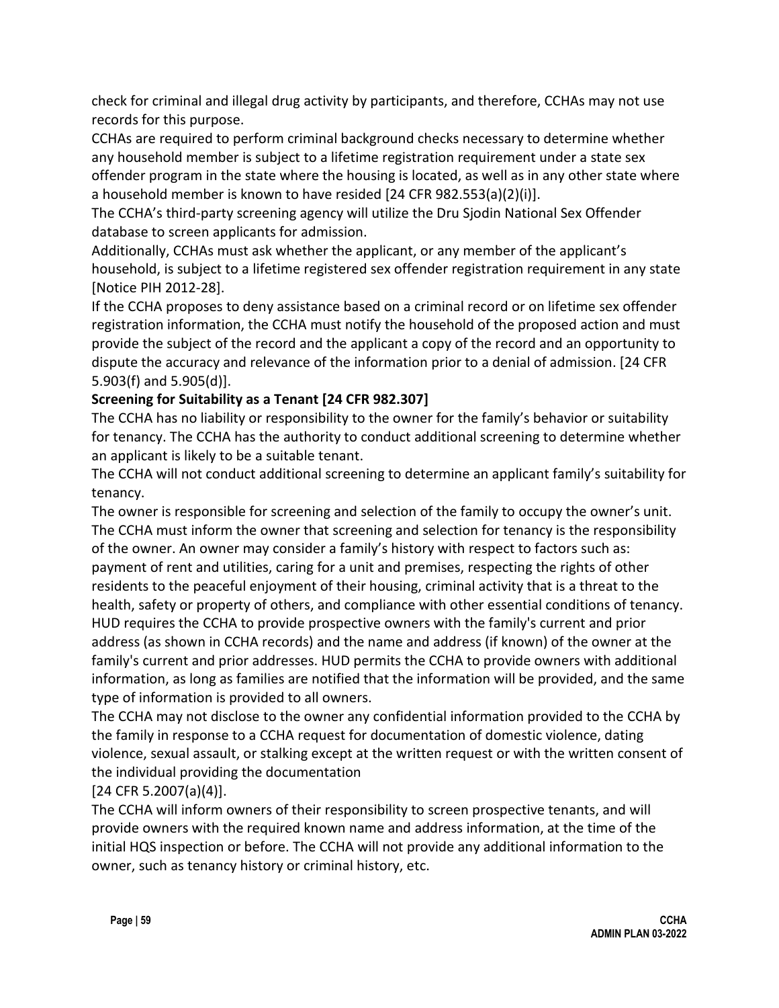check for criminal and illegal drug activity by participants, and therefore, CCHAs may not use records for this purpose.

CCHAs are required to perform criminal background checks necessary to determine whether any household member is subject to a lifetime registration requirement under a state sex offender program in the state where the housing is located, as well as in any other state where a household member is known to have resided [24 CFR 982.553(a)(2)(i)].

The CCHA's third-party screening agency will utilize the Dru Sjodin National Sex Offender database to screen applicants for admission.

Additionally, CCHAs must ask whether the applicant, or any member of the applicant's household, is subject to a lifetime registered sex offender registration requirement in any state [Notice PIH 2012-28].

If the CCHA proposes to deny assistance based on a criminal record or on lifetime sex offender registration information, the CCHA must notify the household of the proposed action and must provide the subject of the record and the applicant a copy of the record and an opportunity to dispute the accuracy and relevance of the information prior to a denial of admission. [24 CFR 5.903(f) and 5.905(d)].

## **Screening for Suitability as a Tenant [24 CFR 982.307]**

The CCHA has no liability or responsibility to the owner for the family's behavior or suitability for tenancy. The CCHA has the authority to conduct additional screening to determine whether an applicant is likely to be a suitable tenant.

The CCHA will not conduct additional screening to determine an applicant family's suitability for tenancy.

The owner is responsible for screening and selection of the family to occupy the owner's unit. The CCHA must inform the owner that screening and selection for tenancy is the responsibility of the owner. An owner may consider a family's history with respect to factors such as: payment of rent and utilities, caring for a unit and premises, respecting the rights of other residents to the peaceful enjoyment of their housing, criminal activity that is a threat to the health, safety or property of others, and compliance with other essential conditions of tenancy. HUD requires the CCHA to provide prospective owners with the family's current and prior address (as shown in CCHA records) and the name and address (if known) of the owner at the family's current and prior addresses. HUD permits the CCHA to provide owners with additional information, as long as families are notified that the information will be provided, and the same type of information is provided to all owners.

The CCHA may not disclose to the owner any confidential information provided to the CCHA by the family in response to a CCHA request for documentation of domestic violence, dating violence, sexual assault, or stalking except at the written request or with the written consent of the individual providing the documentation

### [24 CFR 5.2007(a)(4)].

The CCHA will inform owners of their responsibility to screen prospective tenants, and will provide owners with the required known name and address information, at the time of the initial HQS inspection or before. The CCHA will not provide any additional information to the owner, such as tenancy history or criminal history, etc.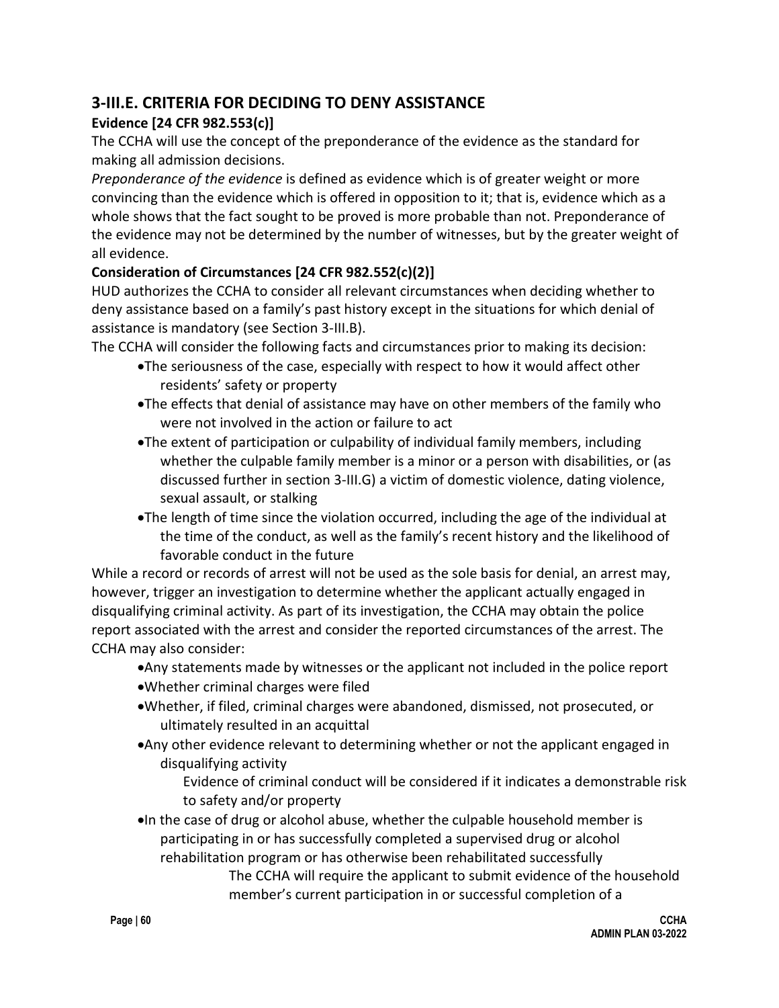# **3-III.E. CRITERIA FOR DECIDING TO DENY ASSISTANCE**

## **Evidence [24 CFR 982.553(c)]**

The CCHA will use the concept of the preponderance of the evidence as the standard for making all admission decisions.

*Preponderance of the evidence* is defined as evidence which is of greater weight or more convincing than the evidence which is offered in opposition to it; that is, evidence which as a whole shows that the fact sought to be proved is more probable than not. Preponderance of the evidence may not be determined by the number of witnesses, but by the greater weight of all evidence.

### **Consideration of Circumstances [24 CFR 982.552(c)(2)]**

HUD authorizes the CCHA to consider all relevant circumstances when deciding whether to deny assistance based on a family's past history except in the situations for which denial of assistance is mandatory (see Section 3-III.B).

The CCHA will consider the following facts and circumstances prior to making its decision:

- •The seriousness of the case, especially with respect to how it would affect other residents' safety or property
- •The effects that denial of assistance may have on other members of the family who were not involved in the action or failure to act
- •The extent of participation or culpability of individual family members, including whether the culpable family member is a minor or a person with disabilities, or (as discussed further in section 3-III.G) a victim of domestic violence, dating violence, sexual assault, or stalking
- •The length of time since the violation occurred, including the age of the individual at the time of the conduct, as well as the family's recent history and the likelihood of favorable conduct in the future

While a record or records of arrest will not be used as the sole basis for denial, an arrest may, however, trigger an investigation to determine whether the applicant actually engaged in disqualifying criminal activity. As part of its investigation, the CCHA may obtain the police report associated with the arrest and consider the reported circumstances of the arrest. The CCHA may also consider:

- •Any statements made by witnesses or the applicant not included in the police report
- •Whether criminal charges were filed
- •Whether, if filed, criminal charges were abandoned, dismissed, not prosecuted, or ultimately resulted in an acquittal
- •Any other evidence relevant to determining whether or not the applicant engaged in disqualifying activity

Evidence of criminal conduct will be considered if it indicates a demonstrable risk to safety and/or property

•In the case of drug or alcohol abuse, whether the culpable household member is participating in or has successfully completed a supervised drug or alcohol rehabilitation program or has otherwise been rehabilitated successfully

The CCHA will require the applicant to submit evidence of the household member's current participation in or successful completion of a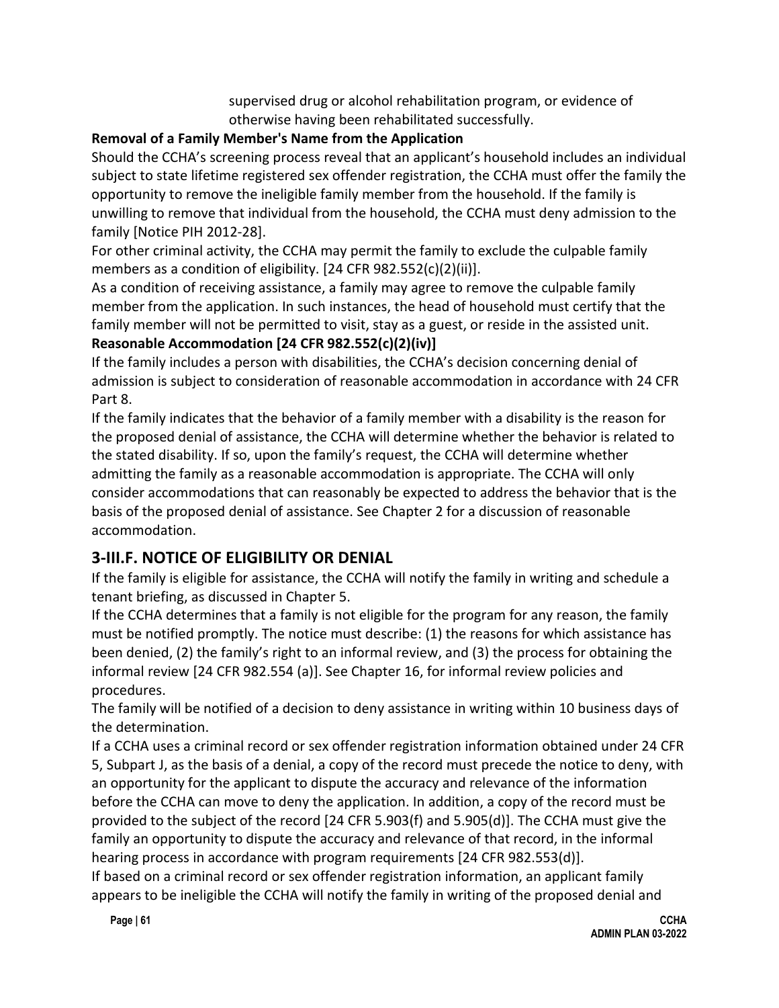supervised drug or alcohol rehabilitation program, or evidence of otherwise having been rehabilitated successfully.

### **Removal of a Family Member's Name from the Application**

Should the CCHA's screening process reveal that an applicant's household includes an individual subject to state lifetime registered sex offender registration, the CCHA must offer the family the opportunity to remove the ineligible family member from the household. If the family is unwilling to remove that individual from the household, the CCHA must deny admission to the family [Notice PIH 2012-28].

For other criminal activity, the CCHA may permit the family to exclude the culpable family members as a condition of eligibility. [24 CFR 982.552(c)(2)(ii)].

As a condition of receiving assistance, a family may agree to remove the culpable family member from the application. In such instances, the head of household must certify that the family member will not be permitted to visit, stay as a guest, or reside in the assisted unit. **Reasonable Accommodation [24 CFR 982.552(c)(2)(iv)]**

If the family includes a person with disabilities, the CCHA's decision concerning denial of admission is subject to consideration of reasonable accommodation in accordance with 24 CFR Part 8.

If the family indicates that the behavior of a family member with a disability is the reason for the proposed denial of assistance, the CCHA will determine whether the behavior is related to the stated disability. If so, upon the family's request, the CCHA will determine whether admitting the family as a reasonable accommodation is appropriate. The CCHA will only consider accommodations that can reasonably be expected to address the behavior that is the basis of the proposed denial of assistance. See Chapter 2 for a discussion of reasonable accommodation.

# **3-III.F. NOTICE OF ELIGIBILITY OR DENIAL**

If the family is eligible for assistance, the CCHA will notify the family in writing and schedule a tenant briefing, as discussed in Chapter 5.

If the CCHA determines that a family is not eligible for the program for any reason, the family must be notified promptly. The notice must describe: (1) the reasons for which assistance has been denied, (2) the family's right to an informal review, and (3) the process for obtaining the informal review [24 CFR 982.554 (a)]. See Chapter 16, for informal review policies and procedures.

The family will be notified of a decision to deny assistance in writing within 10 business days of the determination.

If a CCHA uses a criminal record or sex offender registration information obtained under 24 CFR 5, Subpart J, as the basis of a denial, a copy of the record must precede the notice to deny, with an opportunity for the applicant to dispute the accuracy and relevance of the information before the CCHA can move to deny the application. In addition, a copy of the record must be provided to the subject of the record [24 CFR 5.903(f) and 5.905(d)]. The CCHA must give the family an opportunity to dispute the accuracy and relevance of that record, in the informal hearing process in accordance with program requirements [24 CFR 982.553(d)]. If based on a criminal record or sex offender registration information, an applicant family appears to be ineligible the CCHA will notify the family in writing of the proposed denial and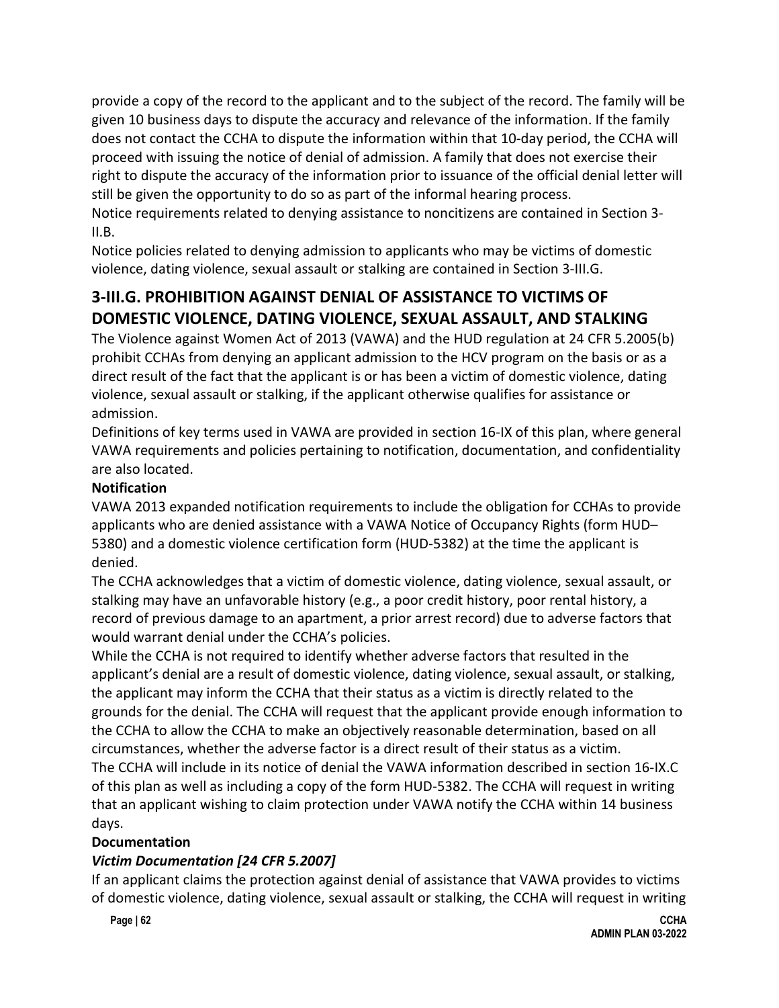provide a copy of the record to the applicant and to the subject of the record. The family will be given 10 business days to dispute the accuracy and relevance of the information. If the family does not contact the CCHA to dispute the information within that 10-day period, the CCHA will proceed with issuing the notice of denial of admission. A family that does not exercise their right to dispute the accuracy of the information prior to issuance of the official denial letter will still be given the opportunity to do so as part of the informal hearing process.

Notice requirements related to denying assistance to noncitizens are contained in Section 3- II.B.

Notice policies related to denying admission to applicants who may be victims of domestic violence, dating violence, sexual assault or stalking are contained in Section 3-III.G.

# **3-III.G. PROHIBITION AGAINST DENIAL OF ASSISTANCE TO VICTIMS OF DOMESTIC VIOLENCE, DATING VIOLENCE, SEXUAL ASSAULT, AND STALKING**

The Violence against Women Act of 2013 (VAWA) and the HUD regulation at 24 CFR 5.2005(b) prohibit CCHAs from denying an applicant admission to the HCV program on the basis or as a direct result of the fact that the applicant is or has been a victim of domestic violence, dating violence, sexual assault or stalking, if the applicant otherwise qualifies for assistance or admission.

Definitions of key terms used in VAWA are provided in section 16-IX of this plan, where general VAWA requirements and policies pertaining to notification, documentation, and confidentiality are also located.

### **Notification**

VAWA 2013 expanded notification requirements to include the obligation for CCHAs to provide applicants who are denied assistance with a VAWA Notice of Occupancy Rights (form HUD– 5380) and a domestic violence certification form (HUD-5382) at the time the applicant is denied.

The CCHA acknowledges that a victim of domestic violence, dating violence, sexual assault, or stalking may have an unfavorable history (e.g., a poor credit history, poor rental history, a record of previous damage to an apartment, a prior arrest record) due to adverse factors that would warrant denial under the CCHA's policies.

While the CCHA is not required to identify whether adverse factors that resulted in the applicant's denial are a result of domestic violence, dating violence, sexual assault, or stalking, the applicant may inform the CCHA that their status as a victim is directly related to the grounds for the denial. The CCHA will request that the applicant provide enough information to the CCHA to allow the CCHA to make an objectively reasonable determination, based on all circumstances, whether the adverse factor is a direct result of their status as a victim. The CCHA will include in its notice of denial the VAWA information described in section 16-IX.C of this plan as well as including a copy of the form HUD-5382. The CCHA will request in writing that an applicant wishing to claim protection under VAWA notify the CCHA within 14 business days.

### **Documentation**

## *Victim Documentation [24 CFR 5.2007]*

If an applicant claims the protection against denial of assistance that VAWA provides to victims of domestic violence, dating violence, sexual assault or stalking, the CCHA will request in writing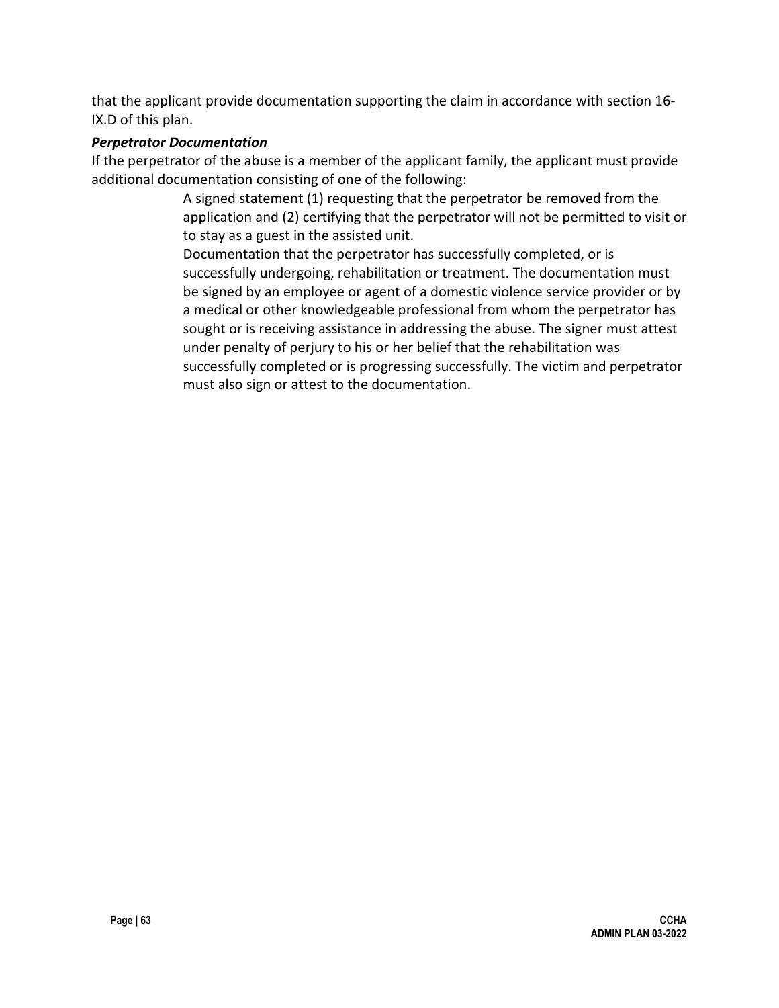that the applicant provide documentation supporting the claim in accordance with section 16- IX.D of this plan.

### *Perpetrator Documentation*

If the perpetrator of the abuse is a member of the applicant family, the applicant must provide additional documentation consisting of one of the following:

> A signed statement (1) requesting that the perpetrator be removed from the application and (2) certifying that the perpetrator will not be permitted to visit or to stay as a guest in the assisted unit.

> Documentation that the perpetrator has successfully completed, or is successfully undergoing, rehabilitation or treatment. The documentation must be signed by an employee or agent of a domestic violence service provider or by a medical or other knowledgeable professional from whom the perpetrator has sought or is receiving assistance in addressing the abuse. The signer must attest under penalty of perjury to his or her belief that the rehabilitation was successfully completed or is progressing successfully. The victim and perpetrator must also sign or attest to the documentation.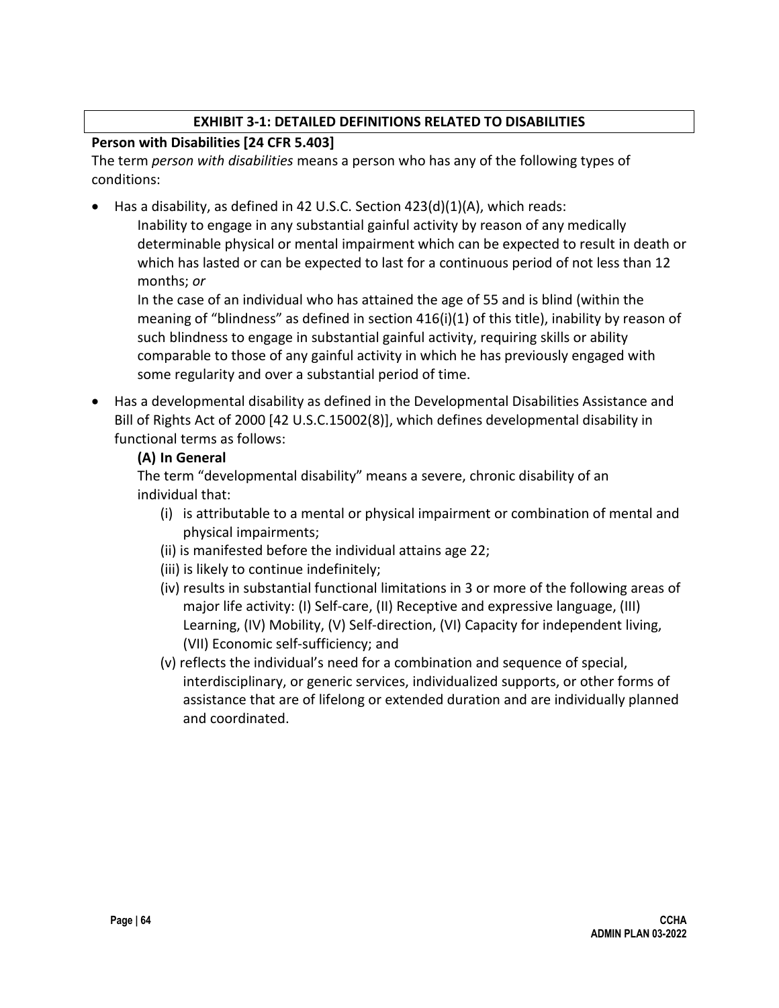### **EXHIBIT 3-1: DETAILED DEFINITIONS RELATED TO DISABILITIES**

### **Person with Disabilities [24 CFR 5.403]**

The term *person with disabilities* means a person who has any of the following types of conditions:

• Has a disability, as defined in 42 U.S.C. Section 423(d)(1)(A), which reads:

Inability to engage in any substantial gainful activity by reason of any medically determinable physical or mental impairment which can be expected to result in death or which has lasted or can be expected to last for a continuous period of not less than 12 months; *or*

In the case of an individual who has attained the age of 55 and is blind (within the meaning of "blindness" as defined in section 416(i)(1) of this title), inability by reason of such blindness to engage in substantial gainful activity, requiring skills or ability comparable to those of any gainful activity in which he has previously engaged with some regularity and over a substantial period of time.

• Has a developmental disability as defined in the Developmental Disabilities Assistance and Bill of Rights Act of 2000 [42 U.S.C.15002(8)], which defines developmental disability in functional terms as follows:

### **(A) In General**

The term "developmental disability" means a severe, chronic disability of an individual that:

- (i) is attributable to a mental or physical impairment or combination of mental and physical impairments;
- (ii) is manifested before the individual attains age 22;
- (iii) is likely to continue indefinitely;
- (iv) results in substantial functional limitations in 3 or more of the following areas of major life activity: (I) Self-care, (II) Receptive and expressive language, (III) Learning, (IV) Mobility, (V) Self-direction, (VI) Capacity for independent living, (VII) Economic self-sufficiency; and
- (v) reflects the individual's need for a combination and sequence of special, interdisciplinary, or generic services, individualized supports, or other forms of assistance that are of lifelong or extended duration and are individually planned and coordinated.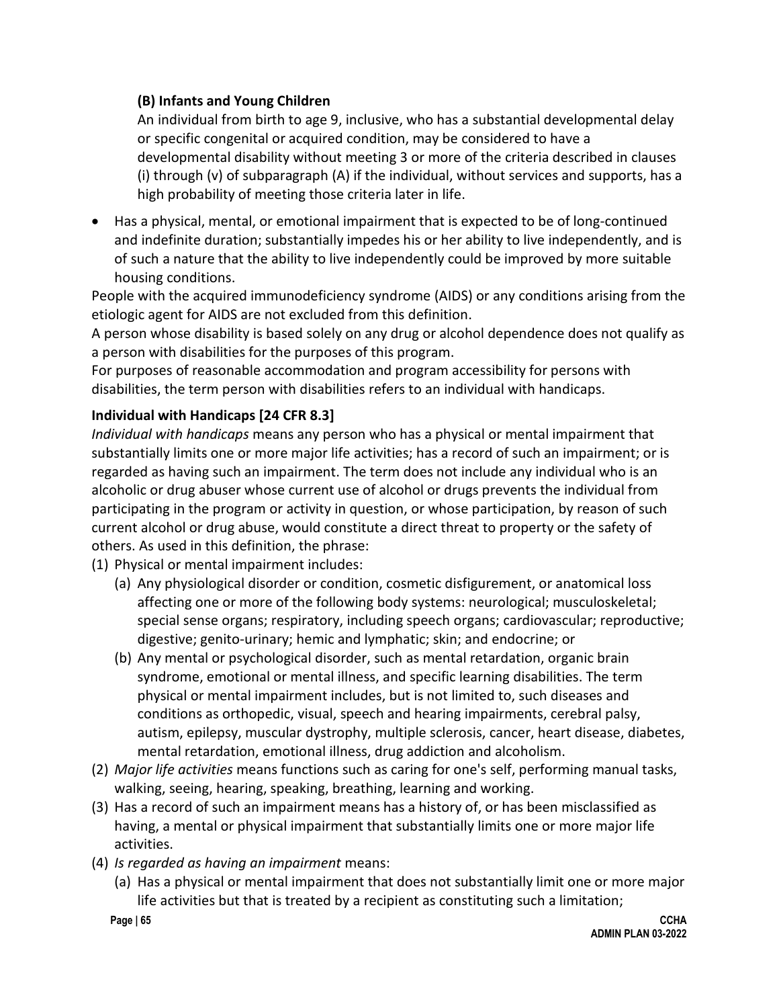### **(B) Infants and Young Children**

An individual from birth to age 9, inclusive, who has a substantial developmental delay or specific congenital or acquired condition, may be considered to have a developmental disability without meeting 3 or more of the criteria described in clauses (i) through (v) of subparagraph (A) if the individual, without services and supports, has a high probability of meeting those criteria later in life.

• Has a physical, mental, or emotional impairment that is expected to be of long-continued and indefinite duration; substantially impedes his or her ability to live independently, and is of such a nature that the ability to live independently could be improved by more suitable housing conditions.

People with the acquired immunodeficiency syndrome (AIDS) or any conditions arising from the etiologic agent for AIDS are not excluded from this definition.

A person whose disability is based solely on any drug or alcohol dependence does not qualify as a person with disabilities for the purposes of this program.

For purposes of reasonable accommodation and program accessibility for persons with disabilities, the term person with disabilities refers to an individual with handicaps.

### **Individual with Handicaps [24 CFR 8.3]**

*Individual with handicaps* means any person who has a physical or mental impairment that substantially limits one or more major life activities; has a record of such an impairment; or is regarded as having such an impairment. The term does not include any individual who is an alcoholic or drug abuser whose current use of alcohol or drugs prevents the individual from participating in the program or activity in question, or whose participation, by reason of such current alcohol or drug abuse, would constitute a direct threat to property or the safety of others. As used in this definition, the phrase:

(1) Physical or mental impairment includes:

- (a) Any physiological disorder or condition, cosmetic disfigurement, or anatomical loss affecting one or more of the following body systems: neurological; musculoskeletal; special sense organs; respiratory, including speech organs; cardiovascular; reproductive; digestive; genito-urinary; hemic and lymphatic; skin; and endocrine; or
- (b) Any mental or psychological disorder, such as mental retardation, organic brain syndrome, emotional or mental illness, and specific learning disabilities. The term physical or mental impairment includes, but is not limited to, such diseases and conditions as orthopedic, visual, speech and hearing impairments, cerebral palsy, autism, epilepsy, muscular dystrophy, multiple sclerosis, cancer, heart disease, diabetes, mental retardation, emotional illness, drug addiction and alcoholism.
- (2) *Major life activities* means functions such as caring for one's self, performing manual tasks, walking, seeing, hearing, speaking, breathing, learning and working.
- (3) Has a record of such an impairment means has a history of, or has been misclassified as having, a mental or physical impairment that substantially limits one or more major life activities.
- (4) *Is regarded as having an impairment* means:
	- (a) Has a physical or mental impairment that does not substantially limit one or more major life activities but that is treated by a recipient as constituting such a limitation;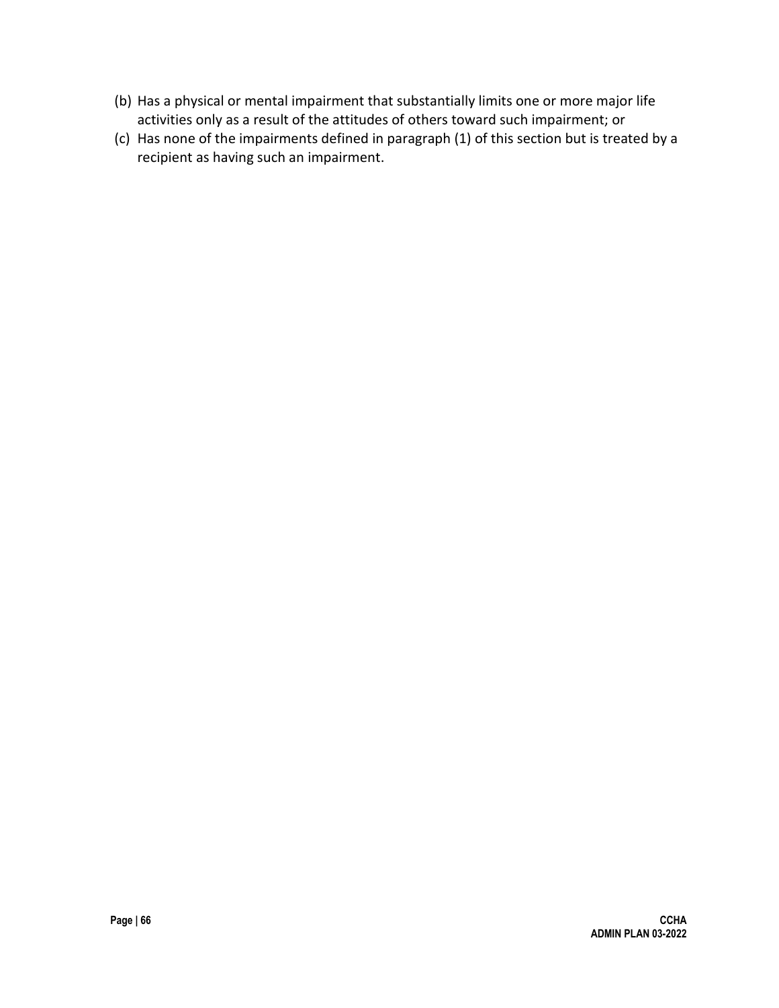- (b) Has a physical or mental impairment that substantially limits one or more major life activities only as a result of the attitudes of others toward such impairment; or
- (c) Has none of the impairments defined in paragraph (1) of this section but is treated by a recipient as having such an impairment.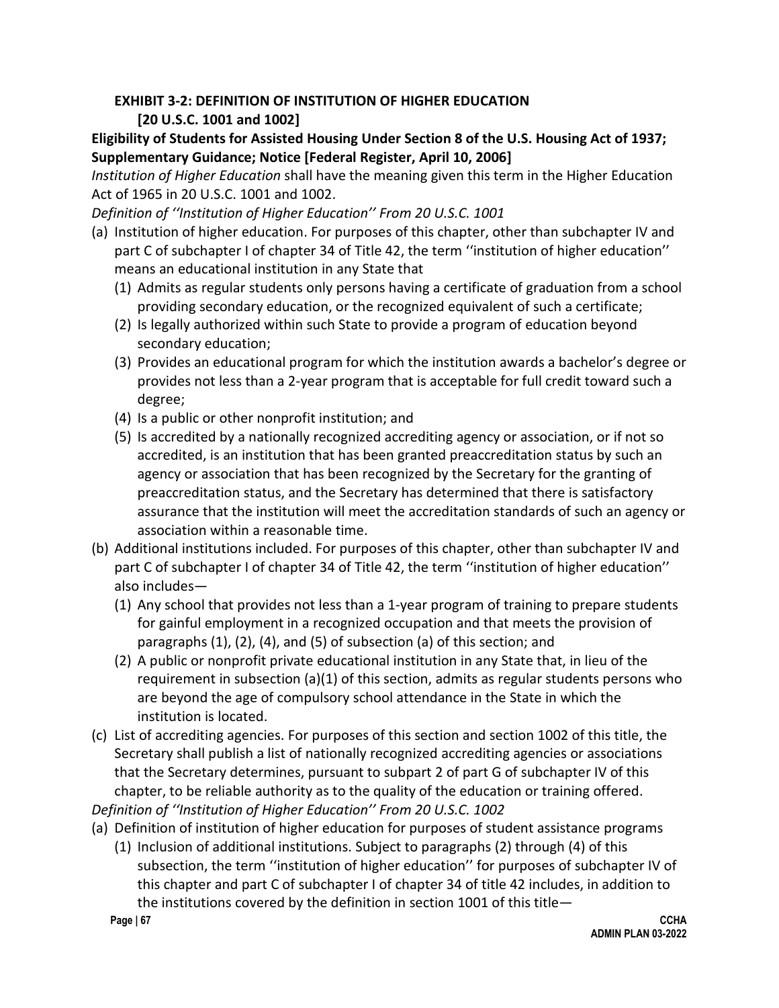#### **EXHIBIT 3-2: DEFINITION OF INSTITUTION OF HIGHER EDUCATION [20 U.S.C. 1001 and 1002]**

**Eligibility of Students for Assisted Housing Under Section 8 of the U.S. Housing Act of 1937; Supplementary Guidance; Notice [Federal Register, April 10, 2006]**

*Institution of Higher Education* shall have the meaning given this term in the Higher Education Act of 1965 in 20 U.S.C. 1001 and 1002.

*Definition of ''Institution of Higher Education'' From 20 U.S.C. 1001*

- (a) Institution of higher education. For purposes of this chapter, other than subchapter IV and part C of subchapter I of chapter 34 of Title 42, the term ''institution of higher education'' means an educational institution in any State that
	- (1) Admits as regular students only persons having a certificate of graduation from a school providing secondary education, or the recognized equivalent of such a certificate;
	- (2) Is legally authorized within such State to provide a program of education beyond secondary education;
	- (3) Provides an educational program for which the institution awards a bachelor's degree or provides not less than a 2-year program that is acceptable for full credit toward such a degree;
	- (4) Is a public or other nonprofit institution; and
	- (5) Is accredited by a nationally recognized accrediting agency or association, or if not so accredited, is an institution that has been granted preaccreditation status by such an agency or association that has been recognized by the Secretary for the granting of preaccreditation status, and the Secretary has determined that there is satisfactory assurance that the institution will meet the accreditation standards of such an agency or association within a reasonable time.
- (b) Additional institutions included. For purposes of this chapter, other than subchapter IV and part C of subchapter I of chapter 34 of Title 42, the term ''institution of higher education'' also includes—
	- (1) Any school that provides not less than a 1-year program of training to prepare students for gainful employment in a recognized occupation and that meets the provision of paragraphs (1), (2), (4), and (5) of subsection (a) of this section; and
	- (2) A public or nonprofit private educational institution in any State that, in lieu of the requirement in subsection (a)(1) of this section, admits as regular students persons who are beyond the age of compulsory school attendance in the State in which the institution is located.
- (c) List of accrediting agencies. For purposes of this section and section 1002 of this title, the Secretary shall publish a list of nationally recognized accrediting agencies or associations that the Secretary determines, pursuant to subpart 2 of part G of subchapter IV of this chapter, to be reliable authority as to the quality of the education or training offered. *Definition of ''Institution of Higher Education'' From 20 U.S.C. 1002*
- (a) Definition of institution of higher education for purposes of student assistance programs
	- (1) Inclusion of additional institutions. Subject to paragraphs (2) through (4) of this subsection, the term ''institution of higher education'' for purposes of subchapter IV of this chapter and part C of subchapter I of chapter 34 of title 42 includes, in addition to the institutions covered by the definition in section 1001 of this title—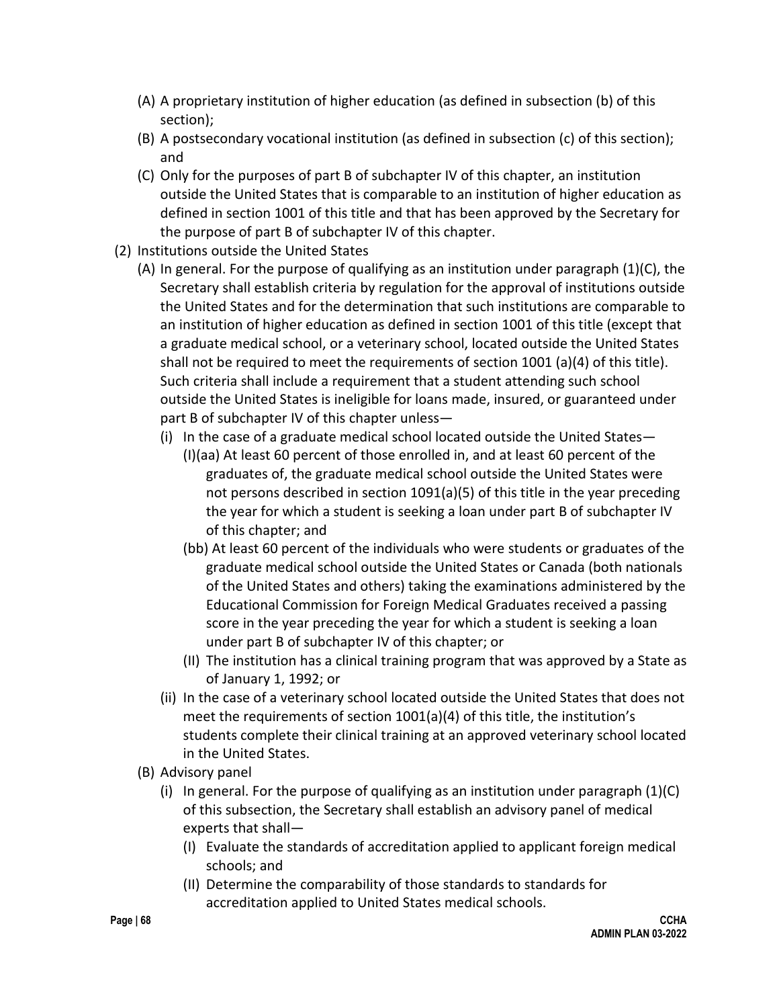- (A) A proprietary institution of higher education (as defined in subsection (b) of this section);
- (B) A postsecondary vocational institution (as defined in subsection (c) of this section); and
- (C) Only for the purposes of part B of subchapter IV of this chapter, an institution outside the United States that is comparable to an institution of higher education as defined in section 1001 of this title and that has been approved by the Secretary for the purpose of part B of subchapter IV of this chapter.
- (2) Institutions outside the United States
	- (A) In general. For the purpose of qualifying as an institution under paragraph  $(1)(C)$ , the Secretary shall establish criteria by regulation for the approval of institutions outside the United States and for the determination that such institutions are comparable to an institution of higher education as defined in section 1001 of this title (except that a graduate medical school, or a veterinary school, located outside the United States shall not be required to meet the requirements of section 1001 (a)(4) of this title). Such criteria shall include a requirement that a student attending such school outside the United States is ineligible for loans made, insured, or guaranteed under part B of subchapter IV of this chapter unless—
		- (i) In the case of a graduate medical school located outside the United States—
			- (I)(aa) At least 60 percent of those enrolled in, and at least 60 percent of the graduates of, the graduate medical school outside the United States were not persons described in section 1091(a)(5) of this title in the year preceding the year for which a student is seeking a loan under part B of subchapter IV of this chapter; and
			- (bb) At least 60 percent of the individuals who were students or graduates of the graduate medical school outside the United States or Canada (both nationals of the United States and others) taking the examinations administered by the Educational Commission for Foreign Medical Graduates received a passing score in the year preceding the year for which a student is seeking a loan under part B of subchapter IV of this chapter; or
			- (II) The institution has a clinical training program that was approved by a State as of January 1, 1992; or
		- (ii) In the case of a veterinary school located outside the United States that does not meet the requirements of section 1001(a)(4) of this title, the institution's students complete their clinical training at an approved veterinary school located in the United States.
	- (B) Advisory panel
		- (i) In general. For the purpose of qualifying as an institution under paragraph (1)(C) of this subsection, the Secretary shall establish an advisory panel of medical experts that shall—
			- (I) Evaluate the standards of accreditation applied to applicant foreign medical schools; and
			- (II) Determine the comparability of those standards to standards for accreditation applied to United States medical schools.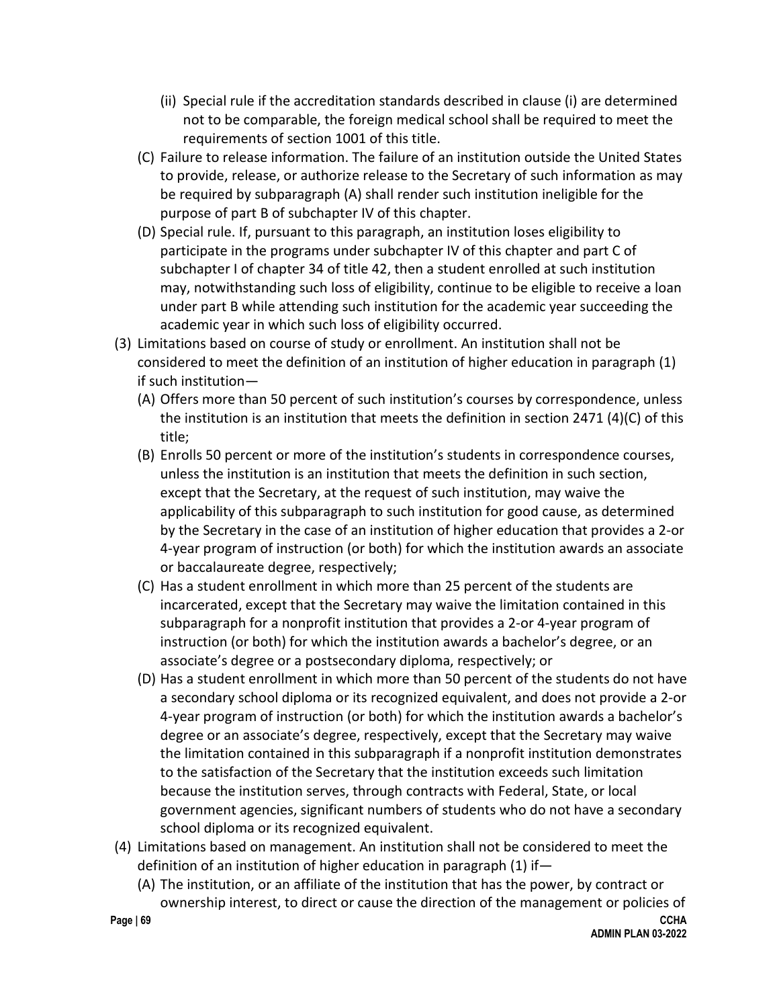- (ii) Special rule if the accreditation standards described in clause (i) are determined not to be comparable, the foreign medical school shall be required to meet the requirements of section 1001 of this title.
- (C) Failure to release information. The failure of an institution outside the United States to provide, release, or authorize release to the Secretary of such information as may be required by subparagraph (A) shall render such institution ineligible for the purpose of part B of subchapter IV of this chapter.
- (D) Special rule. If, pursuant to this paragraph, an institution loses eligibility to participate in the programs under subchapter IV of this chapter and part C of subchapter I of chapter 34 of title 42, then a student enrolled at such institution may, notwithstanding such loss of eligibility, continue to be eligible to receive a loan under part B while attending such institution for the academic year succeeding the academic year in which such loss of eligibility occurred.
- (3) Limitations based on course of study or enrollment. An institution shall not be considered to meet the definition of an institution of higher education in paragraph (1) if such institution—
	- (A) Offers more than 50 percent of such institution's courses by correspondence, unless the institution is an institution that meets the definition in section 2471 (4)(C) of this title;
	- (B) Enrolls 50 percent or more of the institution's students in correspondence courses, unless the institution is an institution that meets the definition in such section, except that the Secretary, at the request of such institution, may waive the applicability of this subparagraph to such institution for good cause, as determined by the Secretary in the case of an institution of higher education that provides a 2-or 4-year program of instruction (or both) for which the institution awards an associate or baccalaureate degree, respectively;
	- (C) Has a student enrollment in which more than 25 percent of the students are incarcerated, except that the Secretary may waive the limitation contained in this subparagraph for a nonprofit institution that provides a 2-or 4-year program of instruction (or both) for which the institution awards a bachelor's degree, or an associate's degree or a postsecondary diploma, respectively; or
	- (D) Has a student enrollment in which more than 50 percent of the students do not have a secondary school diploma or its recognized equivalent, and does not provide a 2-or 4-year program of instruction (or both) for which the institution awards a bachelor's degree or an associate's degree, respectively, except that the Secretary may waive the limitation contained in this subparagraph if a nonprofit institution demonstrates to the satisfaction of the Secretary that the institution exceeds such limitation because the institution serves, through contracts with Federal, State, or local government agencies, significant numbers of students who do not have a secondary school diploma or its recognized equivalent.
- (4) Limitations based on management. An institution shall not be considered to meet the definition of an institution of higher education in paragraph (1) if—
	- (A) The institution, or an affiliate of the institution that has the power, by contract or ownership interest, to direct or cause the direction of the management or policies of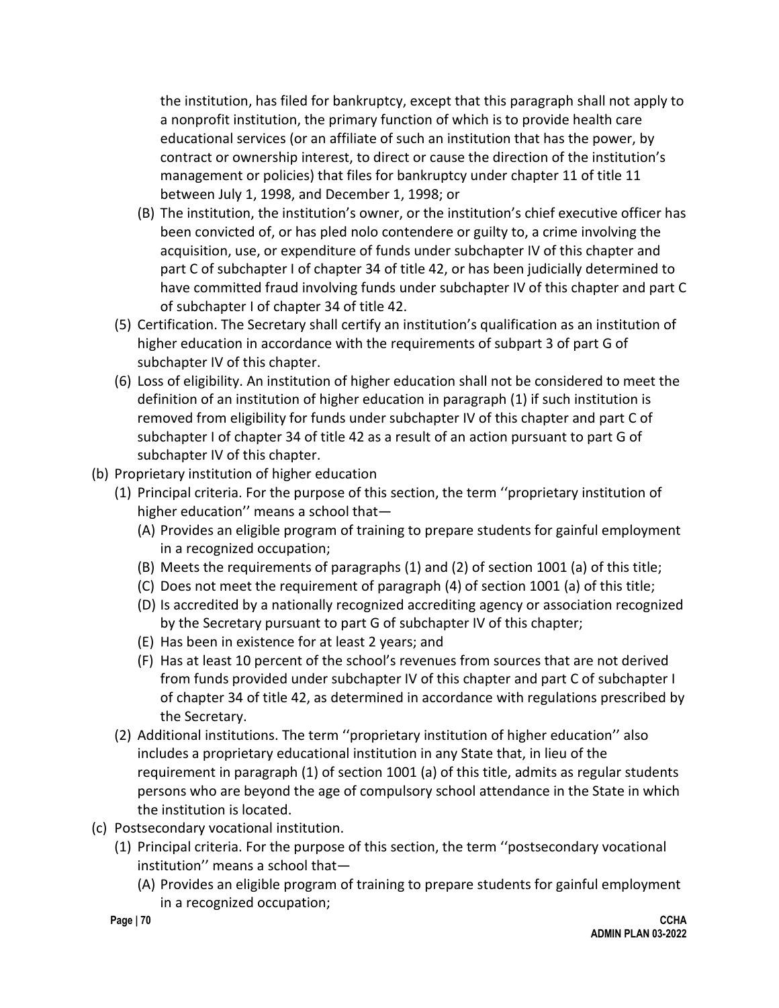the institution, has filed for bankruptcy, except that this paragraph shall not apply to a nonprofit institution, the primary function of which is to provide health care educational services (or an affiliate of such an institution that has the power, by contract or ownership interest, to direct or cause the direction of the institution's management or policies) that files for bankruptcy under chapter 11 of title 11 between July 1, 1998, and December 1, 1998; or

- (B) The institution, the institution's owner, or the institution's chief executive officer has been convicted of, or has pled nolo contendere or guilty to, a crime involving the acquisition, use, or expenditure of funds under subchapter IV of this chapter and part C of subchapter I of chapter 34 of title 42, or has been judicially determined to have committed fraud involving funds under subchapter IV of this chapter and part C of subchapter I of chapter 34 of title 42.
- (5) Certification. The Secretary shall certify an institution's qualification as an institution of higher education in accordance with the requirements of subpart 3 of part G of subchapter IV of this chapter.
- (6) Loss of eligibility. An institution of higher education shall not be considered to meet the definition of an institution of higher education in paragraph (1) if such institution is removed from eligibility for funds under subchapter IV of this chapter and part C of subchapter I of chapter 34 of title 42 as a result of an action pursuant to part G of subchapter IV of this chapter.
- (b) Proprietary institution of higher education
	- (1) Principal criteria. For the purpose of this section, the term ''proprietary institution of higher education'' means a school that—
		- (A) Provides an eligible program of training to prepare students for gainful employment in a recognized occupation;
		- (B) Meets the requirements of paragraphs (1) and (2) of section 1001 (a) of this title;
		- (C) Does not meet the requirement of paragraph (4) of section 1001 (a) of this title;
		- (D) Is accredited by a nationally recognized accrediting agency or association recognized by the Secretary pursuant to part G of subchapter IV of this chapter;
		- (E) Has been in existence for at least 2 years; and
		- (F) Has at least 10 percent of the school's revenues from sources that are not derived from funds provided under subchapter IV of this chapter and part C of subchapter I of chapter 34 of title 42, as determined in accordance with regulations prescribed by the Secretary.
	- (2) Additional institutions. The term ''proprietary institution of higher education'' also includes a proprietary educational institution in any State that, in lieu of the requirement in paragraph (1) of section 1001 (a) of this title, admits as regular students persons who are beyond the age of compulsory school attendance in the State in which the institution is located.
- (c) Postsecondary vocational institution.
	- (1) Principal criteria. For the purpose of this section, the term ''postsecondary vocational institution'' means a school that—
		- (A) Provides an eligible program of training to prepare students for gainful employment in a recognized occupation;